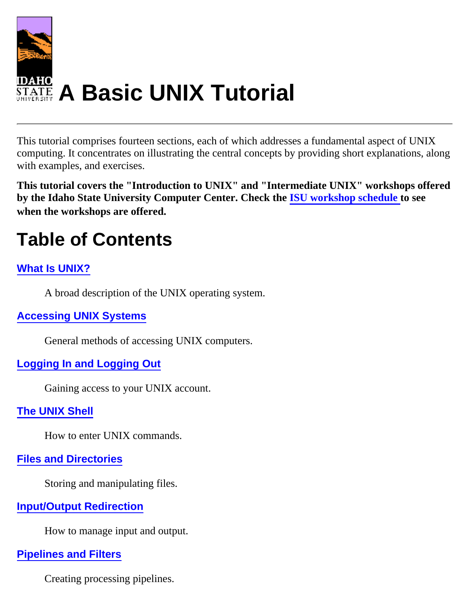

This tutorial comprises fourteen sections, each of which addresses a fundamental aspect of UNIX computing. It concentrates on illustrating the central concepts by providing short explanations, along with examples, and exercises.

**This tutorial covers the "Introduction to UNIX" and "Intermediate UNIX" workshops offered by the Idaho State University Computer Center. Check the [ISU workshop schedule](http://www.isu.edu/whats-happening/workshops/toc.html) to see when the workshops are offered.**

# **Table of Contents**

### **[What Is UNIX?](#page-2-0)**

A broad description of the UNIX operating system.

### **[Accessing UNIX Systems](#page-4-0)**

General methods of accessing UNIX computers.

### **[Logging In and Logging Out](#page-6-0)**

Gaining access to your UNIX account.

### **[The UNIX Shell](#page-8-0)**

How to enter UNIX commands.

### **[Files and Directories](#page-11-0)**

Storing and manipulating files.

### **[Input/Output Redirection](#page-20-0)**

How to manage input and output.

### **[Pipelines and Filters](#page-22-0)**

Creating processing pipelines.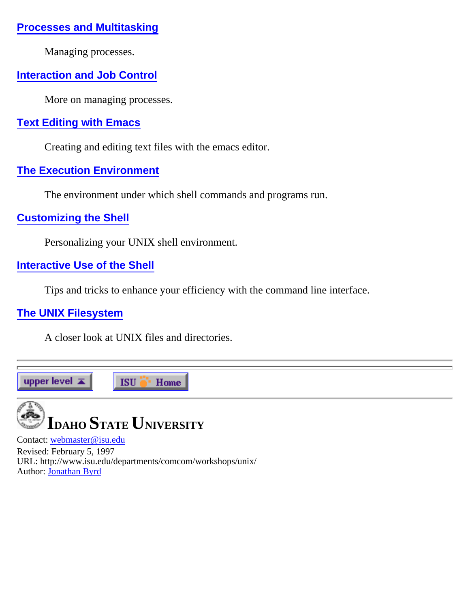#### **[Processes and Multitasking](#page-24-0)**

Managing processes.

#### **[Interaction and Job Control](#page-26-0)**

More on managing processes.

#### **[Text Editing with Emacs](#page-29-0)**

Creating and editing text files with the emacs editor.

#### **[The Execution Environment](#page-34-0)**

The environment under which shell commands and programs run.

#### **[Customizing the Shell](#page-37-0)**

Personalizing your UNIX shell environment.

#### **[Interactive Use of the Shell](#page-40-0)**

Tips and tricks to enhance your efficiency with the command line interface.

#### **[The UNIX Filesystem](#page-43-0)**

A closer look at UNIX files and directories.



## **IDAHO STATE UNIVERSITY**

Contact: [webmaster@isu.edu](mailto:webmaster@isu.edu) Revised: February 5, 1997 URL:<http://www.isu.edu/departments/comcom/workshops/unix/> Author: [Jonathan Byrd](http://www.isu.edu/~jon/)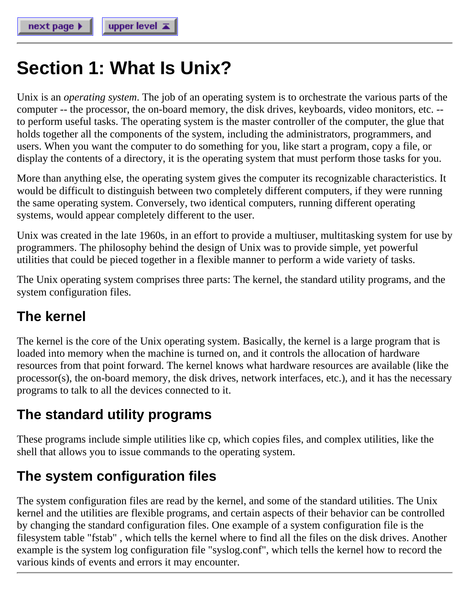# <span id="page-2-0"></span>**Section 1: What Is Unix?**

Unix is an *operating system*. The job of an operating system is to orchestrate the various parts of the computer -- the processor, the on-board memory, the disk drives, keyboards, video monitors, etc. - to perform useful tasks. The operating system is the master controller of the computer, the glue that holds together all the components of the system, including the administrators, programmers, and users. When you want the computer to do something for you, like start a program, copy a file, or display the contents of a directory, it is the operating system that must perform those tasks for you.

More than anything else, the operating system gives the computer its recognizable characteristics. It would be difficult to distinguish between two completely different computers, if they were running the same operating system. Conversely, two identical computers, running different operating systems, would appear completely different to the user.

Unix was created in the late 1960s, in an effort to provide a multiuser, multitasking system for use by programmers. The philosophy behind the design of Unix was to provide simple, yet powerful utilities that could be pieced together in a flexible manner to perform a wide variety of tasks.

The Unix operating system comprises three parts: The kernel, the standard utility programs, and the system configuration files.

### **The kernel**

The kernel is the core of the Unix operating system. Basically, the kernel is a large program that is loaded into memory when the machine is turned on, and it controls the allocation of hardware resources from that point forward. The kernel knows what hardware resources are available (like the processor(s), the on-board memory, the disk drives, network interfaces, etc.), and it has the necessary programs to talk to all the devices connected to it.

### **The standard utility programs**

These programs include simple utilities like cp, which copies files, and complex utilities, like the shell that allows you to issue commands to the operating system.

### **The system configuration files**

The system configuration files are read by the kernel, and some of the standard utilities. The Unix kernel and the utilities are flexible programs, and certain aspects of their behavior can be controlled by changing the standard configuration files. One example of a system configuration file is the filesystem table "fstab" , which tells the kernel where to find all the files on the disk drives. Another example is the system log configuration file "syslog.conf", which tells the kernel how to record the various kinds of events and errors it may encounter.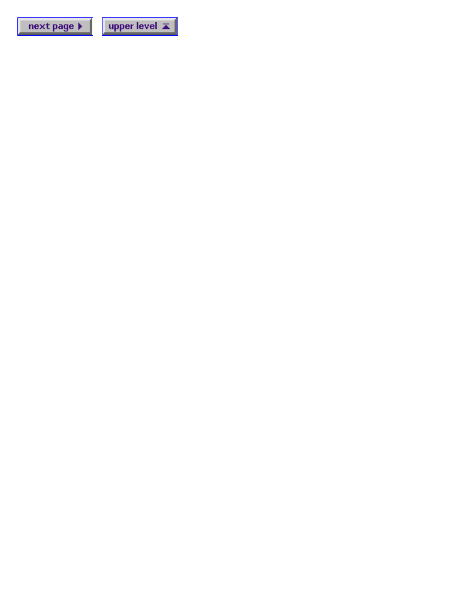$next$  page  $\blacktriangleright$ 

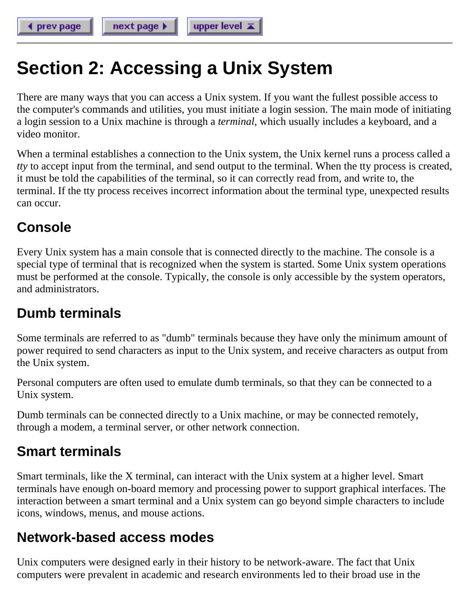# <span id="page-4-0"></span>**Section 2: Accessing a Unix System**

There are many ways that you can access a Unix system. If you want the fullest possible access to the computer's commands and utilities, you must initiate a login session. The main mode of initiating a login session to a Unix machine is through a *terminal*, which usually includes a keyboard, and a video monitor.

When a terminal establishes a connection to the Unix system, the Unix kernel runs a process called a *tty* to accept input from the terminal, and send output to the terminal. When the tty process is created, it must be told the capabilities of the terminal, so it can correctly read from, and write to, the terminal. If the tty process receives incorrect information about the terminal type, unexpected results can occur.

### **Console**

Every Unix system has a main console that is connected directly to the machine. The console is a special type of terminal that is recognized when the system is started. Some Unix system operations must be performed at the console. Typically, the console is only accessible by the system operators, and administrators.

### **Dumb terminals**

Some terminals are referred to as "dumb" terminals because they have only the minimum amount of power required to send characters as input to the Unix system, and receive characters as output from the Unix system.

Personal computers are often used to emulate dumb terminals, so that they can be connected to a Unix system.

Dumb terminals can be connected directly to a Unix machine, or may be connected remotely, through a modem, a terminal server, or other network connection.

### **Smart terminals**

Smart terminals, like the X terminal, can interact with the Unix system at a higher level. Smart terminals have enough on-board memory and processing power to support graphical interfaces. The interaction between a smart terminal and a Unix system can go beyond simple characters to include icons, windows, menus, and mouse actions.

### **Network-based access modes**

Unix computers were designed early in their history to be network-aware. The fact that Unix computers were prevalent in academic and research environments led to their broad use in the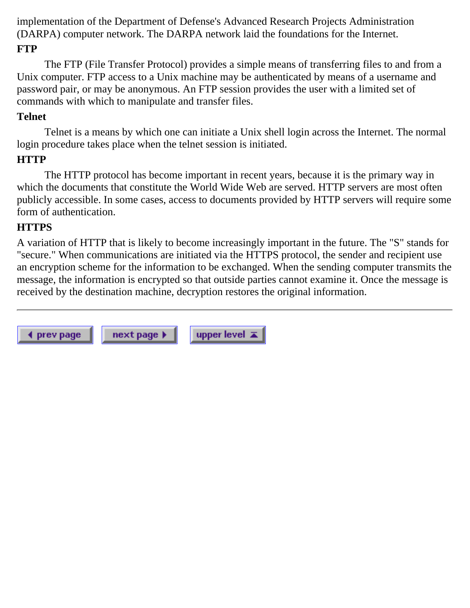implementation of the Department of Defense's Advanced Research Projects Administration (DARPA) computer network. The DARPA network laid the foundations for the Internet. **FTP**

The FTP (File Transfer Protocol) provides a simple means of transferring files to and from a Unix computer. FTP access to a Unix machine may be authenticated by means of a username and password pair, or may be anonymous. An FTP session provides the user with a limited set of commands with which to manipulate and transfer files.

#### **Telnet**

Telnet is a means by which one can initiate a Unix shell login across the Internet. The normal login procedure takes place when the telnet session is initiated.

### **HTTP**

The HTTP protocol has become important in recent years, because it is the primary way in which the documents that constitute the World Wide Web are served. HTTP servers are most often publicly accessible. In some cases, access to documents provided by HTTP servers will require some form of authentication.

### **HTTPS**

A variation of HTTP that is likely to become increasingly important in the future. The "S" stands for "secure." When communications are initiated via the HTTPS protocol, the sender and recipient use an encryption scheme for the information to be exchanged. When the sending computer transmits the message, the information is encrypted so that outside parties cannot examine it. Once the message is received by the destination machine, decryption restores the original information.

**♦ prev page** 

 $next$  page  $\blacktriangleright$ 

upper level  $\overline{a}$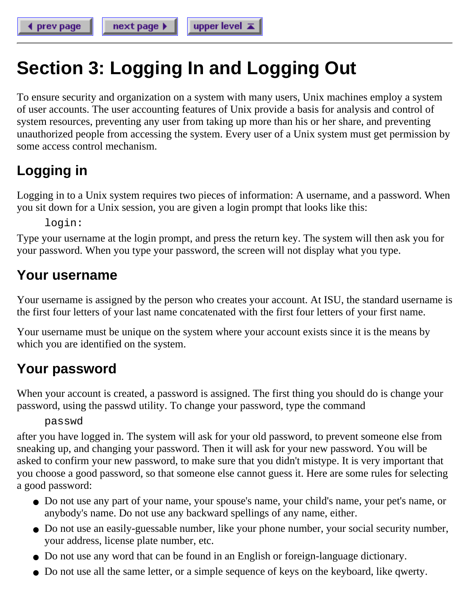# <span id="page-6-0"></span>**Section 3: Logging In and Logging Out**

To ensure security and organization on a system with many users, Unix machines employ a system of user accounts. The user accounting features of Unix provide a basis for analysis and control of system resources, preventing any user from taking up more than his or her share, and preventing unauthorized people from accessing the system. Every user of a Unix system must get permission by some access control mechanism.

## **Logging in**

Logging in to a Unix system requires two pieces of information: A username, and a password. When you sit down for a Unix session, you are given a login prompt that looks like this:

login:

Type your username at the login prompt, and press the return key. The system will then ask you for your password. When you type your password, the screen will not display what you type.

### **Your username**

Your username is assigned by the person who creates your account. At ISU, the standard username is the first four letters of your last name concatenated with the first four letters of your first name.

Your username must be unique on the system where your account exists since it is the means by which you are identified on the system.

### **Your password**

When your account is created, a password is assigned. The first thing you should do is change your password, using the passwd utility. To change your password, type the command

passwd

after you have logged in. The system will ask for your old password, to prevent someone else from sneaking up, and changing your password. Then it will ask for your new password. You will be asked to confirm your new password, to make sure that you didn't mistype. It is very important that you choose a good password, so that someone else cannot guess it. Here are some rules for selecting a good password:

- Do not use any part of your name, your spouse's name, your child's name, your pet's name, or anybody's name. Do not use any backward spellings of any name, either.
- Do not use an easily-guessable number, like your phone number, your social security number, your address, license plate number, etc.
- Do not use any word that can be found in an English or foreign-language dictionary.
- Do not use all the same letter, or a simple sequence of keys on the keyboard, like qwerty.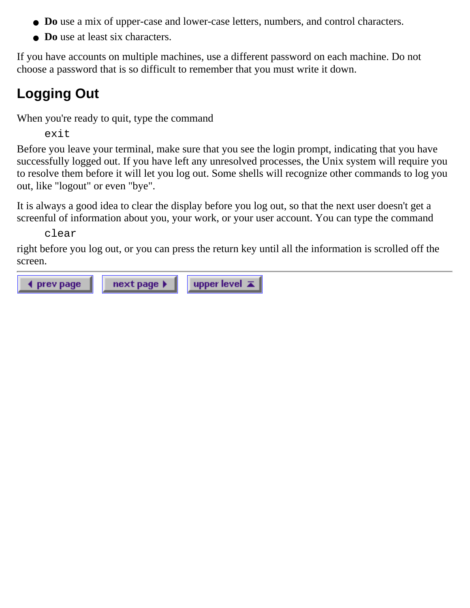- **Do** use a mix of upper-case and lower-case letters, numbers, and control characters.
- **Do** use at least six characters.

If you have accounts on multiple machines, use a different password on each machine. Do not choose a password that is so difficult to remember that you must write it down.

## **Logging Out**

When you're ready to quit, type the command

exit

Before you leave your terminal, make sure that you see the login prompt, indicating that you have successfully logged out. If you have left any unresolved processes, the Unix system will require you to resolve them before it will let you log out. Some shells will recognize other commands to log you out, like "logout" or even "bye".

It is always a good idea to clear the display before you log out, so that the next user doesn't get a screenful of information about you, your work, or your user account. You can type the command

clear

right before you log out, or you can press the return key until all the information is scrolled off the screen.

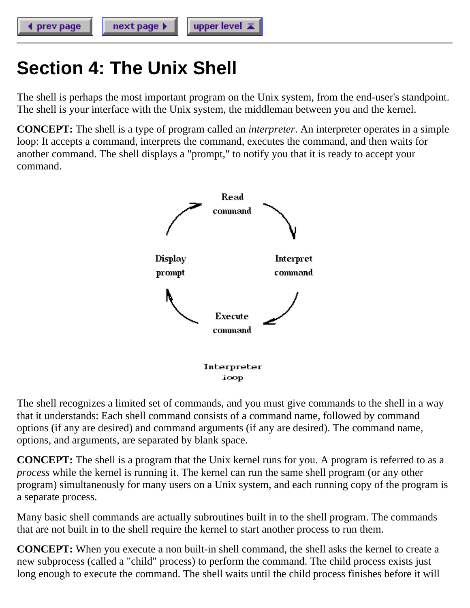# <span id="page-8-0"></span>**Section 4: The Unix Shell**

The shell is perhaps the most important program on the Unix system, from the end-user's standpoint. The shell is your interface with the Unix system, the middleman between you and the kernel.

**CONCEPT:** The shell is a type of program called an *interpreter*. An interpreter operates in a simple loop: It accepts a command, interprets the command, executes the command, and then waits for another command. The shell displays a "prompt," to notify you that it is ready to accept your command.



The shell recognizes a limited set of commands, and you must give commands to the shell in a way that it understands: Each shell command consists of a command name, followed by command options (if any are desired) and command arguments (if any are desired). The command name, options, and arguments, are separated by blank space.

**CONCEPT:** The shell is a program that the Unix kernel runs for you. A program is referred to as a *process* while the kernel is running it. The kernel can run the same shell program (or any other program) simultaneously for many users on a Unix system, and each running copy of the program is a separate process.

Many basic shell commands are actually subroutines built in to the shell program. The commands that are not built in to the shell require the kernel to start another process to run them.

**CONCEPT:** When you execute a non built-in shell command, the shell asks the kernel to create a new subprocess (called a "child" process) to perform the command. The child process exists just long enough to execute the command. The shell waits until the child process finishes before it will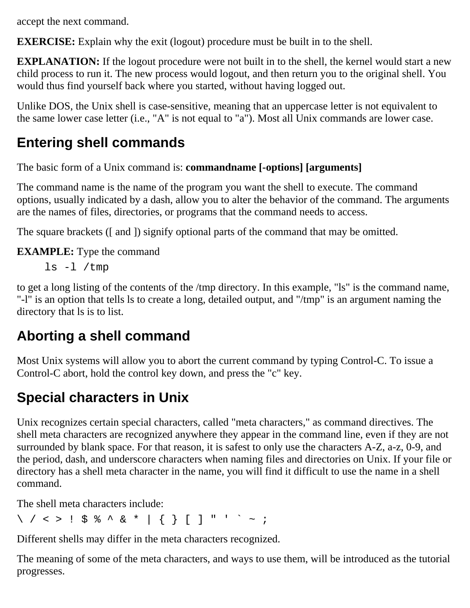accept the next command.

**EXERCISE:** Explain why the exit (logout) procedure must be built in to the shell.

**EXPLANATION:** If the logout procedure were not built in to the shell, the kernel would start a new child process to run it. The new process would logout, and then return you to the original shell. You would thus find yourself back where you started, without having logged out.

Unlike DOS, the Unix shell is case-sensitive, meaning that an uppercase letter is not equivalent to the same lower case letter (i.e., "A" is not equal to "a"). Most all Unix commands are lower case.

## **Entering shell commands**

The basic form of a Unix command is: **commandname [-options] [arguments]**

The command name is the name of the program you want the shell to execute. The command options, usually indicated by a dash, allow you to alter the behavior of the command. The arguments are the names of files, directories, or programs that the command needs to access.

The square brackets ([and ]) signify optional parts of the command that may be omitted.

**EXAMPLE:** Type the command

 $ls -l /t$ mp

to get a long listing of the contents of the /tmp directory. In this example, "ls" is the command name, "-l" is an option that tells ls to create a long, detailed output, and "/tmp" is an argument naming the directory that ls is to list.

## **Aborting a shell command**

Most Unix systems will allow you to abort the current command by typing Control-C. To issue a Control-C abort, hold the control key down, and press the "c" key.

## **Special characters in Unix**

Unix recognizes certain special characters, called "meta characters," as command directives. The shell meta characters are recognized anywhere they appear in the command line, even if they are not surrounded by blank space. For that reason, it is safest to only use the characters A-Z, a-z, 0-9, and the period, dash, and underscore characters when naming files and directories on Unix. If your file or directory has a shell meta character in the name, you will find it difficult to use the name in a shell command.

The shell meta characters include:

\ / < > ! \$ % ^ & \* | { } [ ] " ' ` ~ ;

Different shells may differ in the meta characters recognized.

The meaning of some of the meta characters, and ways to use them, will be introduced as the tutorial progresses.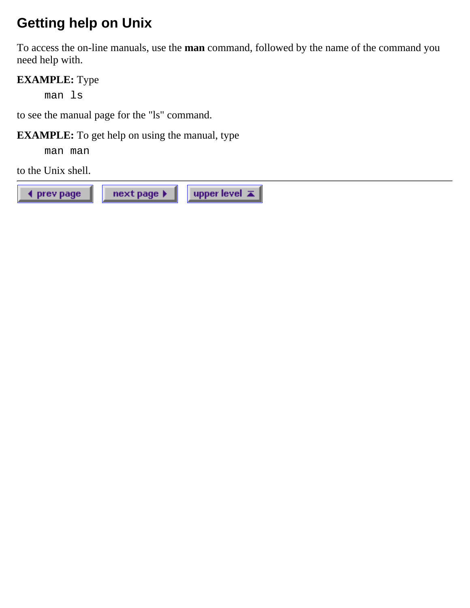## **Getting help on Unix**

To access the on-line manuals, use the **man** command, followed by the name of the command you need help with.

### **EXAMPLE:** Type

man ls

to see the manual page for the "ls" command.

**EXAMPLE:** To get help on using the manual, type

man man

to the Unix shell.

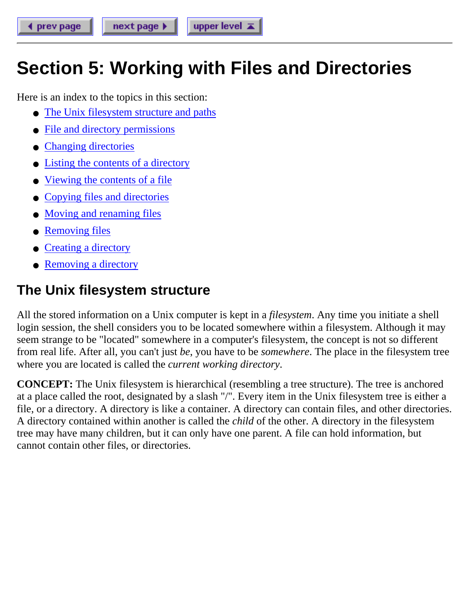# <span id="page-11-0"></span>**Section 5: Working with Files and Directories**

Here is an index to the topics in this section:

- [The Unix filesystem structure and paths](#page-11-1)
- [File and directory permissions](#page-12-0)
- [Changing directories](#page-14-0)
- [Listing the contents of a directory](#page-15-0)
- [Viewing the contents of a file](#page-16-0)
- [Copying files and directories](#page-17-0)
- [Moving and renaming files](#page-17-1)
- [Removing files](#page-17-2)
- [Creating a directory](#page-18-0)
- [Removing a directory](#page-18-1)

### <span id="page-11-1"></span>**The Unix filesystem structure**

All the stored information on a Unix computer is kept in a *filesystem*. Any time you initiate a shell login session, the shell considers you to be located somewhere within a filesystem. Although it may seem strange to be "located" somewhere in a computer's filesystem, the concept is not so different from real life. After all, you can't just *be*, you have to be *somewhere*. The place in the filesystem tree where you are located is called the *current working directory*.

**CONCEPT:** The Unix filesystem is hierarchical (resembling a tree structure). The tree is anchored at a place called the root, designated by a slash "/". Every item in the Unix filesystem tree is either a file, or a directory. A directory is like a container. A directory can contain files, and other directories. A directory contained within another is called the *child* of the other. A directory in the filesystem tree may have many children, but it can only have one parent. A file can hold information, but cannot contain other files, or directories.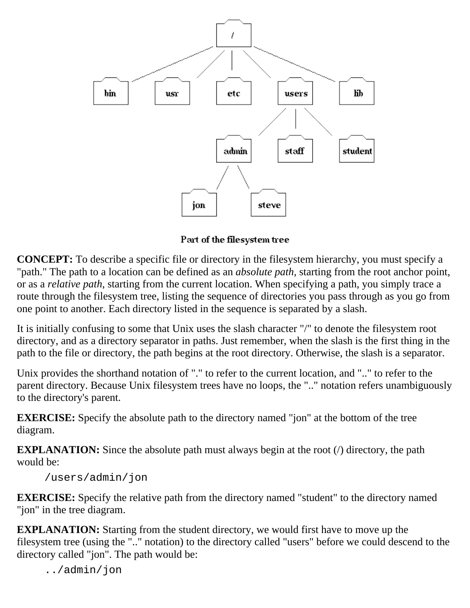

Part of the filesystem tree

**CONCEPT:** To describe a specific file or directory in the filesystem hierarchy, you must specify a "path." The path to a location can be defined as an *absolute path,* starting from the root anchor point, or as a *relative path*, starting from the current location. When specifying a path, you simply trace a route through the filesystem tree, listing the sequence of directories you pass through as you go from one point to another. Each directory listed in the sequence is separated by a slash.

It is initially confusing to some that Unix uses the slash character "/" to denote the filesystem root directory, and as a directory separator in paths. Just remember, when the slash is the first thing in the path to the file or directory, the path begins at the root directory. Otherwise, the slash is a separator.

Unix provides the shorthand notation of "." to refer to the current location, and ".." to refer to the parent directory. Because Unix filesystem trees have no loops, the ".." notation refers unambiguously to the directory's parent.

**EXERCISE:** Specify the absolute path to the directory named "jon" at the bottom of the tree diagram.

**EXPLANATION:** Since the absolute path must always begin at the root (*/*) directory, the path would be:

/users/admin/jon

**EXERCISE:** Specify the relative path from the directory named "student" to the directory named "jon" in the tree diagram.

**EXPLANATION:** Starting from the student directory, we would first have to move up the filesystem tree (using the ".." notation) to the directory called "users" before we could descend to the directory called "jon". The path would be:

<span id="page-12-0"></span>../admin/jon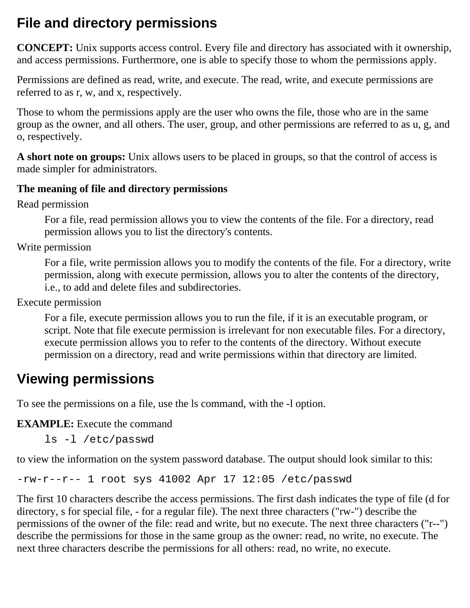## **File and directory permissions**

**CONCEPT:** Unix supports access control. Every file and directory has associated with it ownership, and access permissions. Furthermore, one is able to specify those to whom the permissions apply.

Permissions are defined as read, write, and execute. The read, write, and execute permissions are referred to as r, w, and x, respectively.

Those to whom the permissions apply are the user who owns the file, those who are in the same group as the owner, and all others. The user, group, and other permissions are referred to as u, g, and o, respectively.

**A short note on groups:** Unix allows users to be placed in groups, so that the control of access is made simpler for administrators.

#### **The meaning of file and directory permissions**

Read permission

For a file, read permission allows you to view the contents of the file. For a directory, read permission allows you to list the directory's contents.

Write permission

For a file, write permission allows you to modify the contents of the file. For a directory, write permission, along with execute permission, allows you to alter the contents of the directory, i.e., to add and delete files and subdirectories.

Execute permission

For a file, execute permission allows you to run the file, if it is an executable program, or script. Note that file execute permission is irrelevant for non executable files. For a directory, execute permission allows you to refer to the contents of the directory. Without execute permission on a directory, read and write permissions within that directory are limited.

### **Viewing permissions**

To see the permissions on a file, use the ls command, with the -l option.

**EXAMPLE:** Execute the command

ls -l /etc/passwd

to view the information on the system password database. The output should look similar to this:

-rw-r--r-- 1 root sys 41002 Apr 17 12:05 /etc/passwd

The first 10 characters describe the access permissions. The first dash indicates the type of file (d for directory, s for special file, - for a regular file). The next three characters ("rw-") describe the permissions of the owner of the file: read and write, but no execute. The next three characters ("r--") describe the permissions for those in the same group as the owner: read, no write, no execute. The next three characters describe the permissions for all others: read, no write, no execute.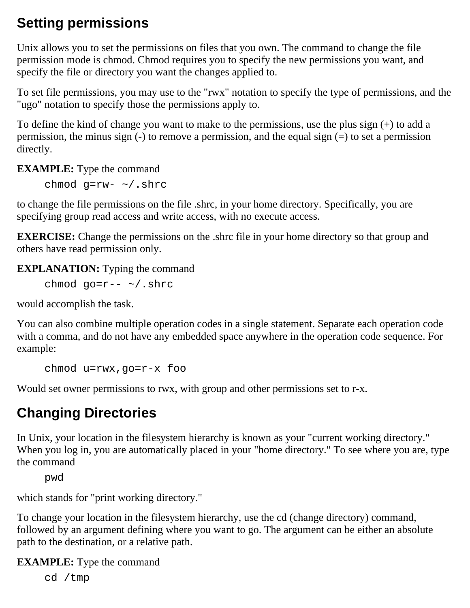## **Setting permissions**

Unix allows you to set the permissions on files that you own. The command to change the file permission mode is chmod. Chmod requires you to specify the new permissions you want, and specify the file or directory you want the changes applied to.

To set file permissions, you may use to the "rwx" notation to specify the type of permissions, and the "ugo" notation to specify those the permissions apply to.

To define the kind of change you want to make to the permissions, use the plus sign (+) to add a permission, the minus sign  $\left(\frac{1}{2}\right)$  to remove a permission, and the equal sign  $\left(\frac{1}{2}\right)$  to set a permission directly.

**EXAMPLE:** Type the command

chmod  $q=rw-$  ~/.shrc

to change the file permissions on the file .shrc, in your home directory. Specifically, you are specifying group read access and write access, with no execute access.

**EXERCISE:** Change the permissions on the .shrc file in your home directory so that group and others have read permission only.

**EXPLANATION:** Typing the command

chmod  $qo=r-- \sim / .$ shrc

would accomplish the task.

You can also combine multiple operation codes in a single statement. Separate each operation code with a comma, and do not have any embedded space anywhere in the operation code sequence. For example:

chmod u=rwx,go=r-x foo

Would set owner permissions to rwx, with group and other permissions set to r-x.

## <span id="page-14-0"></span>**Changing Directories**

In Unix, your location in the filesystem hierarchy is known as your "current working directory." When you log in, you are automatically placed in your "home directory." To see where you are, type the command

pwd

which stands for "print working directory."

To change your location in the filesystem hierarchy, use the cd (change directory) command, followed by an argument defining where you want to go. The argument can be either an absolute path to the destination, or a relative path.

**EXAMPLE:** Type the command

```
cd /tmp
```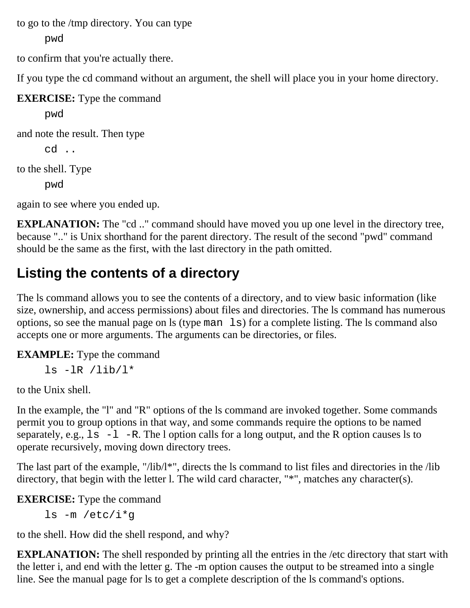to go to the /tmp directory. You can type

pwd

to confirm that you're actually there.

If you type the cd command without an argument, the shell will place you in your home directory.

**EXERCISE:** Type the command

pwd

and note the result. Then type

cd ..

to the shell. Type

pwd

again to see where you ended up.

**EXPLANATION:** The "cd .." command should have moved you up one level in the directory tree, because ".." is Unix shorthand for the parent directory. The result of the second "pwd" command should be the same as the first, with the last directory in the path omitted.

## <span id="page-15-0"></span>**Listing the contents of a directory**

The ls command allows you to see the contents of a directory, and to view basic information (like size, ownership, and access permissions) about files and directories. The ls command has numerous options, so see the manual page on ls (type man ls) for a complete listing. The ls command also accepts one or more arguments. The arguments can be directories, or files.

**EXAMPLE:** Type the command

 $ls -lR /lib/l*$ 

to the Unix shell.

In the example, the "l" and "R" options of the ls command are invoked together. Some commands permit you to group options in that way, and some commands require the options to be named separately, e.g.,  $\text{ls}$  -1 -R. The l option calls for a long output, and the R option causes ls to operate recursively, moving down directory trees.

The last part of the example, "/lib/l\*", directs the ls command to list files and directories in the /lib directory, that begin with the letter l. The wild card character, "\*", matches any character(s).

**EXERCISE:** Type the command

ls -m /etc/i\*g

to the shell. How did the shell respond, and why?

**EXPLANATION:** The shell responded by printing all the entries in the /etc directory that start with the letter i, and end with the letter g. The -m option causes the output to be streamed into a single line. See the manual page for ls to get a complete description of the ls command's options.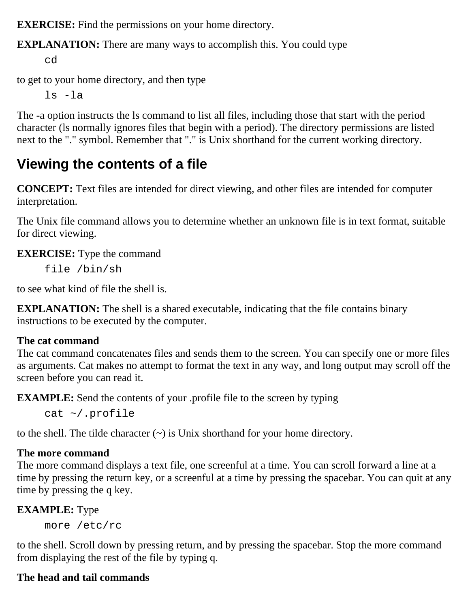**EXERCISE:** Find the permissions on your home directory.

**EXPLANATION:** There are many ways to accomplish this. You could type

cd

to get to your home directory, and then type

ls -la

The -a option instructs the ls command to list all files, including those that start with the period character (ls normally ignores files that begin with a period). The directory permissions are listed next to the "." symbol. Remember that "." is Unix shorthand for the current working directory.

## <span id="page-16-0"></span>**Viewing the contents of a file**

**CONCEPT:** Text files are intended for direct viewing, and other files are intended for computer interpretation.

The Unix file command allows you to determine whether an unknown file is in text format, suitable for direct viewing.

**EXERCISE:** Type the command

file /bin/sh

to see what kind of file the shell is.

**EXPLANATION:** The shell is a shared executable, indicating that the file contains binary instructions to be executed by the computer.

### **The cat command**

The cat command concatenates files and sends them to the screen. You can specify one or more files as arguments. Cat makes no attempt to format the text in any way, and long output may scroll off the screen before you can read it.

**EXAMPLE:** Send the contents of your .profile file to the screen by typing

cat ~/.profile

to the shell. The tilde character  $(\sim)$  is Unix shorthand for your home directory.

### **The more command**

The more command displays a text file, one screenful at a time. You can scroll forward a line at a time by pressing the return key, or a screenful at a time by pressing the spacebar. You can quit at any time by pressing the q key.

### **EXAMPLE:** Type

more /etc/rc

to the shell. Scroll down by pressing return, and by pressing the spacebar. Stop the more command from displaying the rest of the file by typing q.

### **The head and tail commands**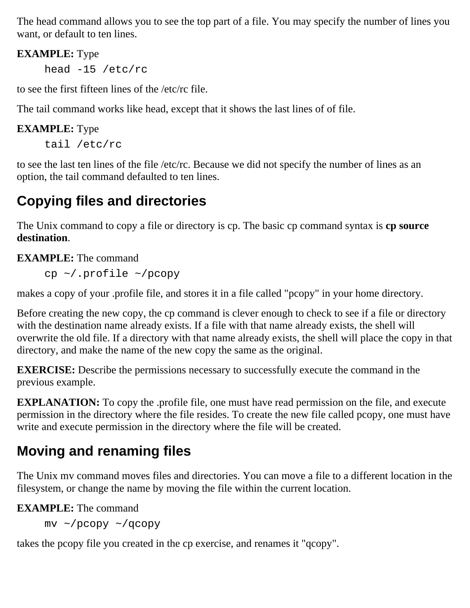The head command allows you to see the top part of a file. You may specify the number of lines you want, or default to ten lines.

### **EXAMPLE:** Type

head -15 /etc/rc

to see the first fifteen lines of the /etc/rc file.

The tail command works like head, except that it shows the last lines of of file.

### **EXAMPLE:** Type

tail /etc/rc

to see the last ten lines of the file /etc/rc. Because we did not specify the number of lines as an option, the tail command defaulted to ten lines.

## <span id="page-17-0"></span>**Copying files and directories**

The Unix command to copy a file or directory is cp. The basic cp command syntax is **cp source destination**.

### **EXAMPLE:** The command

cp ~/.profile ~/pcopy

makes a copy of your .profile file, and stores it in a file called "pcopy" in your home directory.

Before creating the new copy, the cp command is clever enough to check to see if a file or directory with the destination name already exists. If a file with that name already exists, the shell will overwrite the old file. If a directory with that name already exists, the shell will place the copy in that directory, and make the name of the new copy the same as the original.

**EXERCISE:** Describe the permissions necessary to successfully execute the command in the previous example.

**EXPLANATION:** To copy the .profile file, one must have read permission on the file, and execute permission in the directory where the file resides. To create the new file called pcopy, one must have write and execute permission in the directory where the file will be created.

## <span id="page-17-1"></span>**Moving and renaming files**

The Unix mv command moves files and directories. You can move a file to a different location in the filesystem, or change the name by moving the file within the current location.

### **EXAMPLE:** The command

```
mv ~/pcopy ~/qcopy
```
<span id="page-17-2"></span>takes the pcopy file you created in the cp exercise, and renames it "qcopy".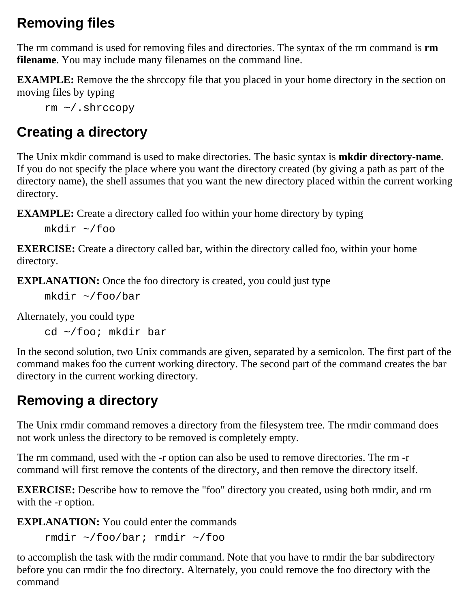### **Removing files**

The rm command is used for removing files and directories. The syntax of the rm command is **rm filename**. You may include many filenames on the command line.

**EXAMPLE:** Remove the the shrccopy file that you placed in your home directory in the section on moving files by typing

```
rm ~/.shrccopy
```
## <span id="page-18-0"></span>**Creating a directory**

The Unix mkdir command is used to make directories. The basic syntax is **mkdir directory-name**. If you do not specify the place where you want the directory created (by giving a path as part of the directory name), the shell assumes that you want the new directory placed within the current working directory.

**EXAMPLE:** Create a directory called foo within your home directory by typing

mkdir ~/foo

**EXERCISE:** Create a directory called bar, within the directory called foo, within your home directory.

**EXPLANATION:** Once the foo directory is created, you could just type

mkdir ~/foo/bar

Alternately, you could type

cd ~/foo; mkdir bar

In the second solution, two Unix commands are given, separated by a semicolon. The first part of the command makes foo the current working directory. The second part of the command creates the bar directory in the current working directory.

## <span id="page-18-1"></span>**Removing a directory**

The Unix rmdir command removes a directory from the filesystem tree. The rmdir command does not work unless the directory to be removed is completely empty.

The rm command, used with the -r option can also be used to remove directories. The rm -r command will first remove the contents of the directory, and then remove the directory itself.

**EXERCISE:** Describe how to remove the "foo" directory you created, using both rmdir, and rm with the -r option.

**EXPLANATION:** You could enter the commands

```
rmdir ~/foo/bar; rmdir ~/foo
```
to accomplish the task with the rmdir command. Note that you have to rmdir the bar subdirectory before you can rmdir the foo directory. Alternately, you could remove the foo directory with the command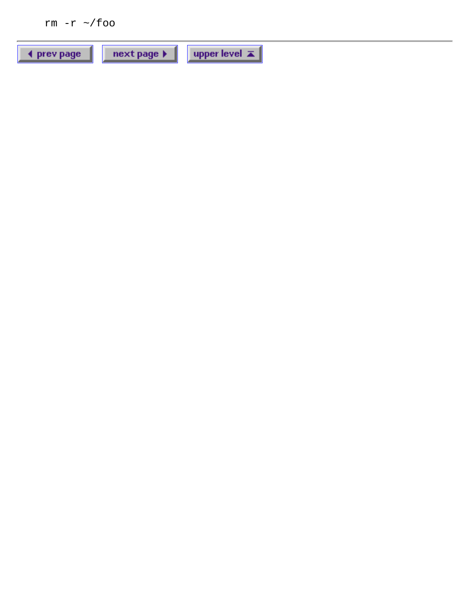◀ prev page

 $next page$ 

upper level  $\overline{\blacktriangle}$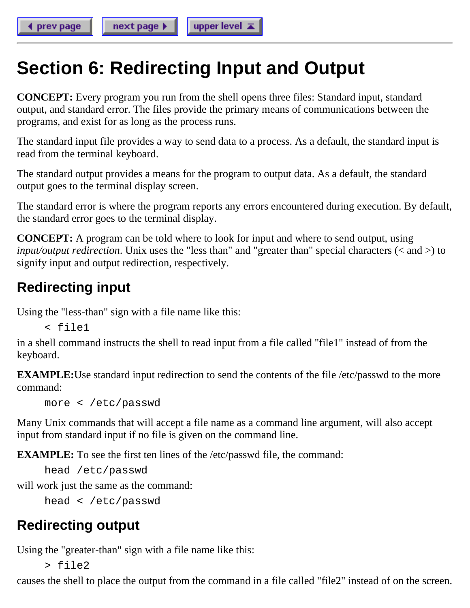# <span id="page-20-0"></span>**Section 6: Redirecting Input and Output**

**CONCEPT:** Every program you run from the shell opens three files: Standard input, standard output, and standard error. The files provide the primary means of communications between the programs, and exist for as long as the process runs.

The standard input file provides a way to send data to a process. As a default, the standard input is read from the terminal keyboard.

The standard output provides a means for the program to output data. As a default, the standard output goes to the terminal display screen.

The standard error is where the program reports any errors encountered during execution. By default, the standard error goes to the terminal display.

**CONCEPT:** A program can be told where to look for input and where to send output, using *input/output redirection*. Unix uses the "less than" and "greater than" special characters (< and >) to signify input and output redirection, respectively.

### **Redirecting input**

Using the "less-than" sign with a file name like this:

< file1

in a shell command instructs the shell to read input from a file called "file1" instead of from the keyboard.

**EXAMPLE:**Use standard input redirection to send the contents of the file /etc/passwd to the more command:

more < /etc/passwd

Many Unix commands that will accept a file name as a command line argument, will also accept input from standard input if no file is given on the command line.

**EXAMPLE:** To see the first ten lines of the /etc/passwd file, the command:

head /etc/passwd

will work just the same as the command:

head < /etc/passwd

### **Redirecting output**

Using the "greater-than" sign with a file name like this:

> file2

causes the shell to place the output from the command in a file called "file2" instead of on the screen.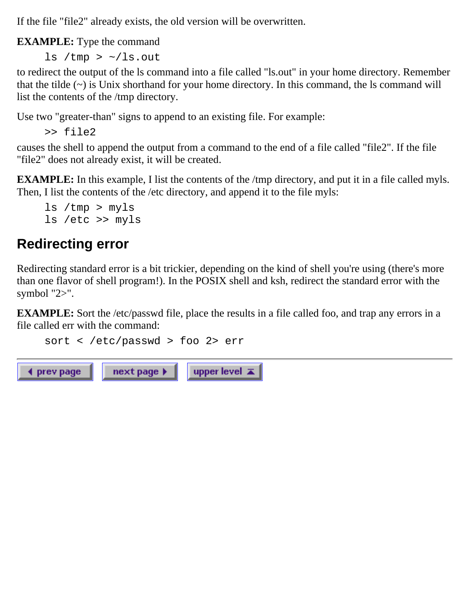If the file "file2" already exists, the old version will be overwritten.

**EXAMPLE:** Type the command

 $ls$  /tmp >  $\sim$ /ls.out

to redirect the output of the ls command into a file called "ls.out" in your home directory. Remember that the tilde  $(\sim)$  is Unix shorthand for your home directory. In this command, the ls command will list the contents of the /tmp directory.

Use two "greater-than" signs to append to an existing file. For example:

>> file2

causes the shell to append the output from a command to the end of a file called "file2". If the file "file2" does not already exist, it will be created.

**EXAMPLE:** In this example, I list the contents of the /tmp directory, and put it in a file called myls. Then, I list the contents of the /etc directory, and append it to the file myls:

```
ls /tmp > myls
ls /etc >> myls
```
### **Redirecting error**

Redirecting standard error is a bit trickier, depending on the kind of shell you're using (there's more than one flavor of shell program!). In the POSIX shell and ksh, redirect the standard error with the symbol "2>".

**EXAMPLE:** Sort the /etc/passwd file, place the results in a file called foo, and trap any errors in a file called err with the command:

```
sort < /etc/passwd > foo 2> err
```
**4 prev page** 

 $next$  page  $\blacktriangleright$ 

upper level  $\mathbf{z}$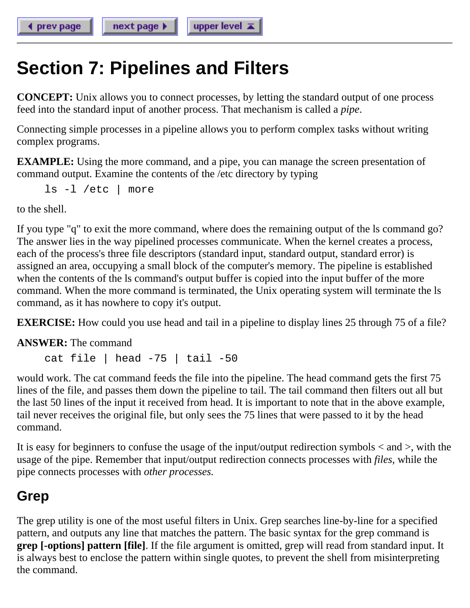# <span id="page-22-0"></span>**Section 7: Pipelines and Filters**

**CONCEPT:** Unix allows you to connect processes, by letting the standard output of one process feed into the standard input of another process. That mechanism is called a *pipe*.

Connecting simple processes in a pipeline allows you to perform complex tasks without writing complex programs.

**EXAMPLE:** Using the more command, and a pipe, you can manage the screen presentation of command output. Examine the contents of the /etc directory by typing

ls -l /etc | more

to the shell.

If you type "q" to exit the more command, where does the remaining output of the ls command go? The answer lies in the way pipelined processes communicate. When the kernel creates a process, each of the process's three file descriptors (standard input, standard output, standard error) is assigned an area, occupying a small block of the computer's memory. The pipeline is established when the contents of the ls command's output buffer is copied into the input buffer of the more command. When the more command is terminated, the Unix operating system will terminate the ls command, as it has nowhere to copy it's output.

**EXERCISE:** How could you use head and tail in a pipeline to display lines 25 through 75 of a file?

**ANSWER:** The command

cat file | head -75 | tail -50

would work. The cat command feeds the file into the pipeline. The head command gets the first 75 lines of the file, and passes them down the pipeline to tail. The tail command then filters out all but the last 50 lines of the input it received from head. It is important to note that in the above example, tail never receives the original file, but only sees the 75 lines that were passed to it by the head command.

It is easy for beginners to confuse the usage of the input/output redirection symbols < and >, with the usage of the pipe. Remember that input/output redirection connects processes with *files,* while the pipe connects processes with *other processes.*

### **Grep**

The grep utility is one of the most useful filters in Unix. Grep searches line-by-line for a specified pattern, and outputs any line that matches the pattern. The basic syntax for the grep command is **grep [-options] pattern [file]**. If the file argument is omitted, grep will read from standard input. It is always best to enclose the pattern within single quotes, to prevent the shell from misinterpreting the command.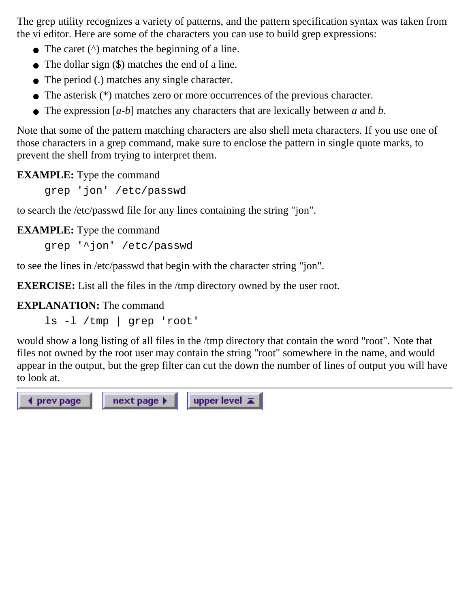The grep utility recognizes a variety of patterns, and the pattern specification syntax was taken from the vi editor. Here are some of the characters you can use to build grep expressions:

- $\bullet$  The caret ( $\land$ ) matches the beginning of a line.
- The dollar sign (\$) matches the end of a line.
- The period (.) matches any single character.
- The asterisk (\*) matches zero or more occurrences of the previous character.
- The expression [*a-b*] matches any characters that are lexically between *a* and *b*.

Note that some of the pattern matching characters are also shell meta characters. If you use one of those characters in a grep command, make sure to enclose the pattern in single quote marks, to prevent the shell from trying to interpret them.

**EXAMPLE:** Type the command

grep 'jon' /etc/passwd

to search the /etc/passwd file for any lines containing the string "jon".

**EXAMPLE:** Type the command

grep '^jon' /etc/passwd

to see the lines in /etc/passwd that begin with the character string "jon".

**EXERCISE:** List all the files in the /tmp directory owned by the user root.

### **EXPLANATION:** The command

ls -l /tmp | grep 'root'

would show a long listing of all files in the /tmp directory that contain the word "root". Note that files not owned by the root user may contain the string "root" somewhere in the name, and would appear in the output, but the grep filter can cut the down the number of lines of output you will have to look at.

**♦** prev page

 $next$  page  $\blacktriangleright$ 

upper level  $\boldsymbol{\Sigma}$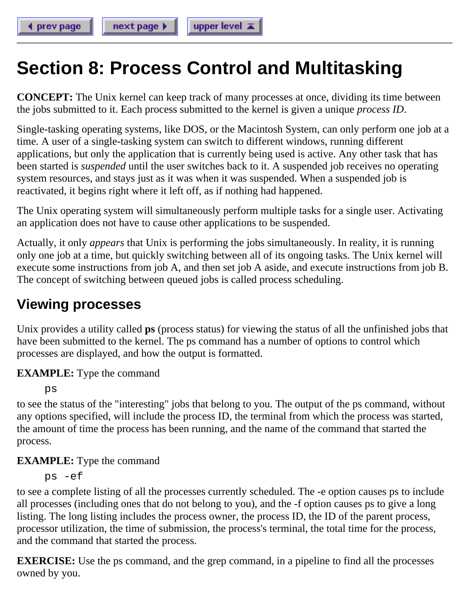# <span id="page-24-0"></span>**Section 8: Process Control and Multitasking**

**CONCEPT:** The Unix kernel can keep track of many processes at once, dividing its time between the jobs submitted to it. Each process submitted to the kernel is given a unique *process ID*.

Single-tasking operating systems, like DOS, or the Macintosh System, can only perform one job at a time. A user of a single-tasking system can switch to different windows, running different applications, but only the application that is currently being used is active. Any other task that has been started is *suspended* until the user switches back to it. A suspended job receives no operating system resources, and stays just as it was when it was suspended. When a suspended job is reactivated, it begins right where it left off, as if nothing had happened.

The Unix operating system will simultaneously perform multiple tasks for a single user. Activating an application does not have to cause other applications to be suspended.

Actually, it only *appears* that Unix is performing the jobs simultaneously. In reality, it is running only one job at a time, but quickly switching between all of its ongoing tasks. The Unix kernel will execute some instructions from job A, and then set job A aside, and execute instructions from job B. The concept of switching between queued jobs is called process scheduling.

### **Viewing processes**

Unix provides a utility called **ps** (process status) for viewing the status of all the unfinished jobs that have been submitted to the kernel. The ps command has a number of options to control which processes are displayed, and how the output is formatted.

**EXAMPLE:** Type the command

ps

to see the status of the "interesting" jobs that belong to you. The output of the ps command, without any options specified, will include the process ID, the terminal from which the process was started, the amount of time the process has been running, and the name of the command that started the process.

**EXAMPLE:** Type the command

ps -ef

to see a complete listing of all the processes currently scheduled. The -e option causes ps to include all processes (including ones that do not belong to you), and the -f option causes ps to give a long listing. The long listing includes the process owner, the process ID, the ID of the parent process, processor utilization, the time of submission, the process's terminal, the total time for the process, and the command that started the process.

**EXERCISE:** Use the ps command, and the grep command, in a pipeline to find all the processes owned by you.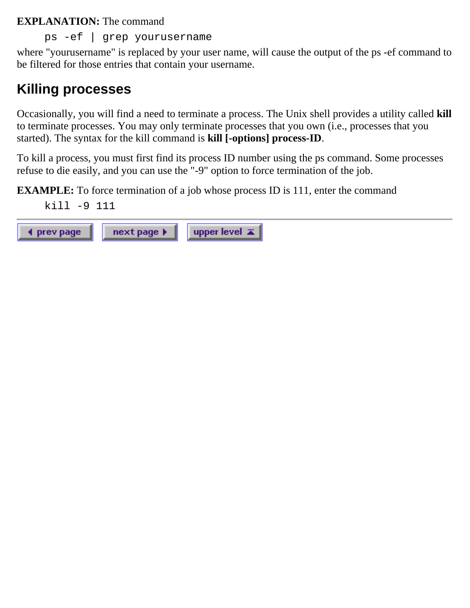**EXPLANATION:** The command

ps -ef | grep yourusername

where "yourusername" is replaced by your user name, will cause the output of the ps -ef command to be filtered for those entries that contain your username.

## **Killing processes**

Occasionally, you will find a need to terminate a process. The Unix shell provides a utility called **kill** to terminate processes. You may only terminate processes that you own (i.e., processes that you started). The syntax for the kill command is **kill [-options] process-ID**.

To kill a process, you must first find its process ID number using the ps command. Some processes refuse to die easily, and you can use the "-9" option to force termination of the job.

**EXAMPLE:** To force termination of a job whose process ID is 111, enter the command

```
kill -9 111
```
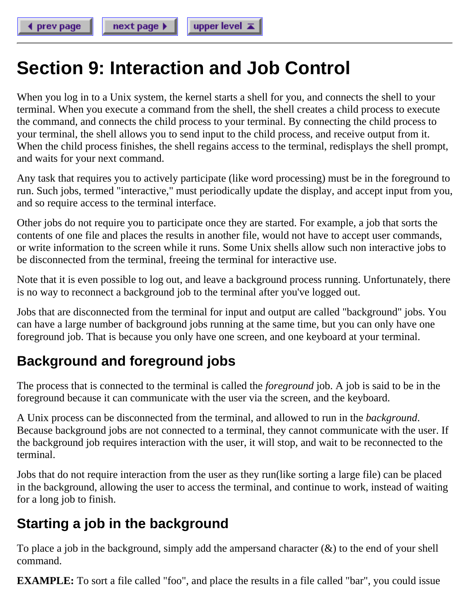# <span id="page-26-0"></span>**Section 9: Interaction and Job Control**

When you log in to a Unix system, the kernel starts a shell for you, and connects the shell to your terminal. When you execute a command from the shell, the shell creates a child process to execute the command, and connects the child process to your terminal. By connecting the child process to your terminal, the shell allows you to send input to the child process, and receive output from it. When the child process finishes, the shell regains access to the terminal, redisplays the shell prompt, and waits for your next command.

Any task that requires you to actively participate (like word processing) must be in the foreground to run. Such jobs, termed "interactive," must periodically update the display, and accept input from you, and so require access to the terminal interface.

Other jobs do not require you to participate once they are started. For example, a job that sorts the contents of one file and places the results in another file, would not have to accept user commands, or write information to the screen while it runs. Some Unix shells allow such non interactive jobs to be disconnected from the terminal, freeing the terminal for interactive use.

Note that it is even possible to log out, and leave a background process running. Unfortunately, there is no way to reconnect a background job to the terminal after you've logged out.

Jobs that are disconnected from the terminal for input and output are called "background" jobs. You can have a large number of background jobs running at the same time, but you can only have one foreground job. That is because you only have one screen, and one keyboard at your terminal.

### **Background and foreground jobs**

The process that is connected to the terminal is called the *foreground* job. A job is said to be in the foreground because it can communicate with the user via the screen, and the keyboard.

A Unix process can be disconnected from the terminal, and allowed to run in the *background*. Because background jobs are not connected to a terminal, they cannot communicate with the user. If the background job requires interaction with the user, it will stop, and wait to be reconnected to the terminal.

Jobs that do not require interaction from the user as they run(like sorting a large file) can be placed in the background, allowing the user to access the terminal, and continue to work, instead of waiting for a long job to finish.

### **Starting a job in the background**

To place a job in the background, simply add the ampersand character  $(x)$  to the end of your shell command.

**EXAMPLE:** To sort a file called "foo", and place the results in a file called "bar", you could issue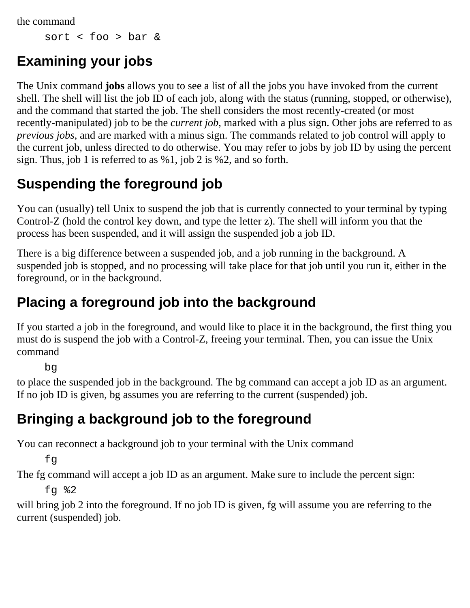the command

sort < foo > bar &

## **Examining your jobs**

The Unix command **jobs** allows you to see a list of all the jobs you have invoked from the current shell. The shell will list the job ID of each job, along with the status (running, stopped, or otherwise), and the command that started the job. The shell considers the most recently-created (or most recently-manipulated) job to be the *current job*, marked with a plus sign. Other jobs are referred to as *previous jobs*, and are marked with a minus sign. The commands related to job control will apply to the current job, unless directed to do otherwise. You may refer to jobs by job ID by using the percent sign. Thus, job 1 is referred to as %1, job 2 is %2, and so forth.

## **Suspending the foreground job**

You can (usually) tell Unix to suspend the job that is currently connected to your terminal by typing Control-Z (hold the control key down, and type the letter z). The shell will inform you that the process has been suspended, and it will assign the suspended job a job ID.

There is a big difference between a suspended job, and a job running in the background. A suspended job is stopped, and no processing will take place for that job until you run it, either in the foreground, or in the background.

## **Placing a foreground job into the background**

If you started a job in the foreground, and would like to place it in the background, the first thing you must do is suspend the job with a Control-Z, freeing your terminal. Then, you can issue the Unix command

bg

to place the suspended job in the background. The bg command can accept a job ID as an argument. If no job ID is given, bg assumes you are referring to the current (suspended) job.

### **Bringing a background job to the foreground**

You can reconnect a background job to your terminal with the Unix command

fg

The fg command will accept a job ID as an argument. Make sure to include the percent sign:

 $fq$  %2

will bring job 2 into the foreground. If no job ID is given, fg will assume you are referring to the current (suspended) job.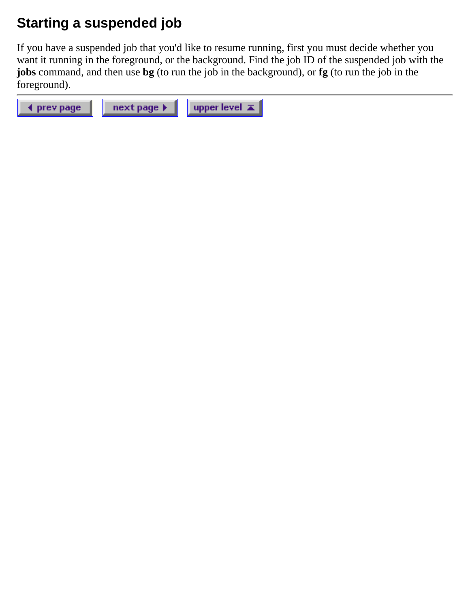## **Starting a suspended job**

If you have a suspended job that you'd like to resume running, first you must decide whether you want it running in the foreground, or the background. Find the job ID of the suspended job with the **jobs** command, and then use **bg** (to run the job in the background), or **fg** (to run the job in the foreground).

**♦** prev page

next page  $\blacktriangleright$ 

upper level  $\vert \mathbf{z} \vert$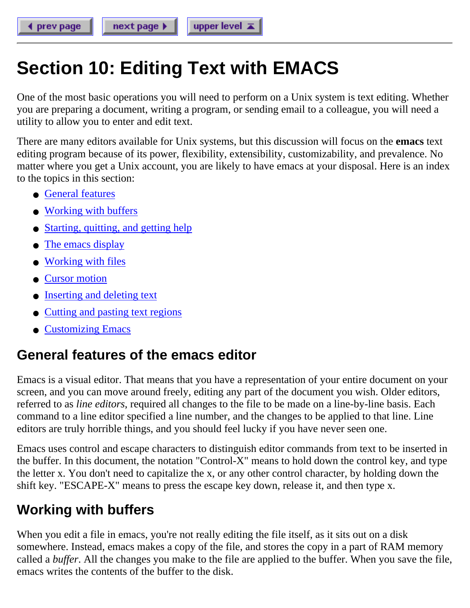# <span id="page-29-0"></span>**Section 10: Editing Text with EMACS**

One of the most basic operations you will need to perform on a Unix system is text editing. Whether you are preparing a document, writing a program, or sending email to a colleague, you will need a utility to allow you to enter and edit text.

There are many editors available for Unix systems, but this discussion will focus on the **emacs** text editing program because of its power, flexibility, extensibility, customizability, and prevalence. No matter where you get a Unix account, you are likely to have emacs at your disposal. Here is an index to the topics in this section:

- [General features](#page-29-1)
- [Working with buffers](#page-29-2)
- [Starting, quitting, and getting help](#page-30-0)
- [The emacs display](#page-30-1)
- [Working with files](#page-30-2)
- [Cursor motion](#page-31-0)
- [Inserting and deleting text](#page-31-1)
- [Cutting and pasting text regions](#page-32-0)
- [Customizing Emacs](#page-32-1)

### <span id="page-29-1"></span>**General features of the emacs editor**

Emacs is a visual editor. That means that you have a representation of your entire document on your screen, and you can move around freely, editing any part of the document you wish. Older editors, referred to as *line editors*, required all changes to the file to be made on a line-by-line basis. Each command to a line editor specified a line number, and the changes to be applied to that line. Line editors are truly horrible things, and you should feel lucky if you have never seen one.

Emacs uses control and escape characters to distinguish editor commands from text to be inserted in the buffer. In this document, the notation "Control-X" means to hold down the control key, and type the letter x. You don't need to capitalize the x, or any other control character, by holding down the shift key. "ESCAPE-X" means to press the escape key down, release it, and then type x.

### <span id="page-29-2"></span>**Working with buffers**

When you edit a file in emacs, you're not really editing the file itself, as it sits out on a disk somewhere. Instead, emacs makes a copy of the file, and stores the copy in a part of RAM memory called a *buffer*. All the changes you make to the file are applied to the buffer. When you save the file, emacs writes the contents of the buffer to the disk.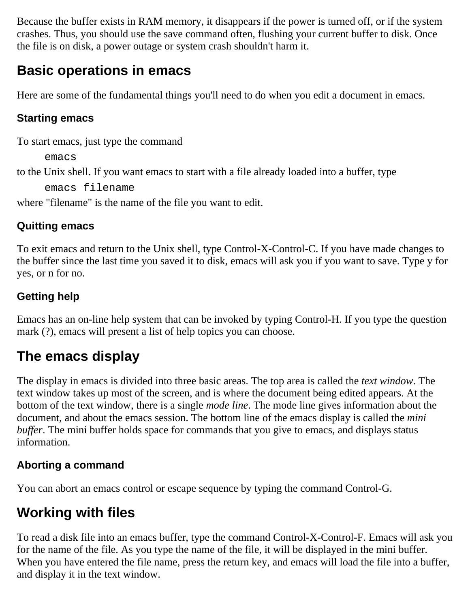Because the buffer exists in RAM memory, it disappears if the power is turned off, or if the system crashes. Thus, you should use the save command often, flushing your current buffer to disk. Once the file is on disk, a power outage or system crash shouldn't harm it.

### <span id="page-30-0"></span>**Basic operations in emacs**

Here are some of the fundamental things you'll need to do when you edit a document in emacs.

### **Starting emacs**

To start emacs, just type the command

emacs

to the Unix shell. If you want emacs to start with a file already loaded into a buffer, type

```
emacs filename
```
where "filename" is the name of the file you want to edit.

### **Quitting emacs**

To exit emacs and return to the Unix shell, type Control-X-Control-C. If you have made changes to the buffer since the last time you saved it to disk, emacs will ask you if you want to save. Type y for yes, or n for no.

### **Getting help**

Emacs has an on-line help system that can be invoked by typing Control-H. If you type the question mark (?), emacs will present a list of help topics you can choose.

## <span id="page-30-1"></span>**The emacs display**

The display in emacs is divided into three basic areas. The top area is called the *text window*. The text window takes up most of the screen, and is where the document being edited appears. At the bottom of the text window, there is a single *mode line*. The mode line gives information about the document, and about the emacs session. The bottom line of the emacs display is called the *mini buffer*. The mini buffer holds space for commands that you give to emacs, and displays status information.

### **Aborting a command**

You can abort an emacs control or escape sequence by typing the command Control-G.

## <span id="page-30-2"></span>**Working with files**

To read a disk file into an emacs buffer, type the command Control-X-Control-F. Emacs will ask you for the name of the file. As you type the name of the file, it will be displayed in the mini buffer. When you have entered the file name, press the return key, and emacs will load the file into a buffer, and display it in the text window.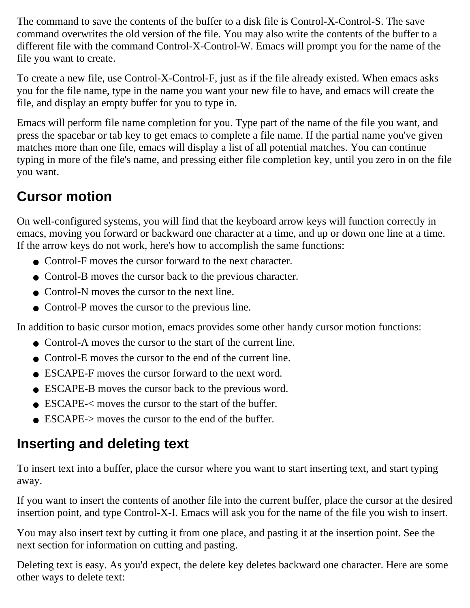The command to save the contents of the buffer to a disk file is Control-X-Control-S. The save command overwrites the old version of the file. You may also write the contents of the buffer to a different file with the command Control-X-Control-W. Emacs will prompt you for the name of the file you want to create.

To create a new file, use Control-X-Control-F, just as if the file already existed. When emacs asks you for the file name, type in the name you want your new file to have, and emacs will create the file, and display an empty buffer for you to type in.

Emacs will perform file name completion for you. Type part of the name of the file you want, and press the spacebar or tab key to get emacs to complete a file name. If the partial name you've given matches more than one file, emacs will display a list of all potential matches. You can continue typing in more of the file's name, and pressing either file completion key, until you zero in on the file you want.

## <span id="page-31-0"></span>**Cursor motion**

On well-configured systems, you will find that the keyboard arrow keys will function correctly in emacs, moving you forward or backward one character at a time, and up or down one line at a time. If the arrow keys do not work, here's how to accomplish the same functions:

- Control-F moves the cursor forward to the next character.
- Control-B moves the cursor back to the previous character.
- Control-N moves the cursor to the next line.
- Control-P moves the cursor to the previous line.

In addition to basic cursor motion, emacs provides some other handy cursor motion functions:

- Control-A moves the cursor to the start of the current line.
- Control-E moves the cursor to the end of the current line.
- ESCAPE-F moves the cursor forward to the next word.
- ESCAPE-B moves the cursor back to the previous word.
- $\bullet$  ESCAPE- $\lt$  moves the cursor to the start of the buffer.
- $\bullet$  ESCAPE- $>$  moves the cursor to the end of the buffer.

## <span id="page-31-1"></span>**Inserting and deleting text**

To insert text into a buffer, place the cursor where you want to start inserting text, and start typing away.

If you want to insert the contents of another file into the current buffer, place the cursor at the desired insertion point, and type Control-X-I. Emacs will ask you for the name of the file you wish to insert.

You may also insert text by cutting it from one place, and pasting it at the insertion point. See the next section for information on cutting and pasting.

Deleting text is easy. As you'd expect, the delete key deletes backward one character. Here are some other ways to delete text: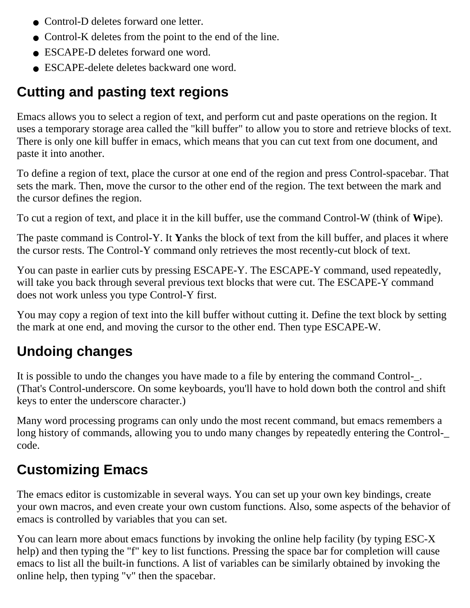- Control-D deletes forward one letter.
- Control-K deletes from the point to the end of the line.
- ESCAPE-D deletes forward one word.
- ESCAPE-delete deletes backward one word.

## <span id="page-32-0"></span>**Cutting and pasting text regions**

Emacs allows you to select a region of text, and perform cut and paste operations on the region. It uses a temporary storage area called the "kill buffer" to allow you to store and retrieve blocks of text. There is only one kill buffer in emacs, which means that you can cut text from one document, and paste it into another.

To define a region of text, place the cursor at one end of the region and press Control-spacebar. That sets the mark. Then, move the cursor to the other end of the region. The text between the mark and the cursor defines the region.

To cut a region of text, and place it in the kill buffer, use the command Control-W (think of **W**ipe).

The paste command is Control-Y. It **Y**anks the block of text from the kill buffer, and places it where the cursor rests. The Control-Y command only retrieves the most recently-cut block of text.

You can paste in earlier cuts by pressing ESCAPE-Y. The ESCAPE-Y command, used repeatedly, will take you back through several previous text blocks that were cut. The ESCAPE-Y command does not work unless you type Control-Y first.

You may copy a region of text into the kill buffer without cutting it. Define the text block by setting the mark at one end, and moving the cursor to the other end. Then type ESCAPE-W.

## **Undoing changes**

It is possible to undo the changes you have made to a file by entering the command Control-\_. (That's Control-underscore. On some keyboards, you'll have to hold down both the control and shift keys to enter the underscore character.)

Many word processing programs can only undo the most recent command, but emacs remembers a long history of commands, allowing you to undo many changes by repeatedly entering the Controlcode.

## <span id="page-32-1"></span>**Customizing Emacs**

The emacs editor is customizable in several ways. You can set up your own key bindings, create your own macros, and even create your own custom functions. Also, some aspects of the behavior of emacs is controlled by variables that you can set.

You can learn more about emacs functions by invoking the online help facility (by typing ESC-X help) and then typing the "f" key to list functions. Pressing the space bar for completion will cause emacs to list all the built-in functions. A list of variables can be similarly obtained by invoking the online help, then typing "v" then the spacebar.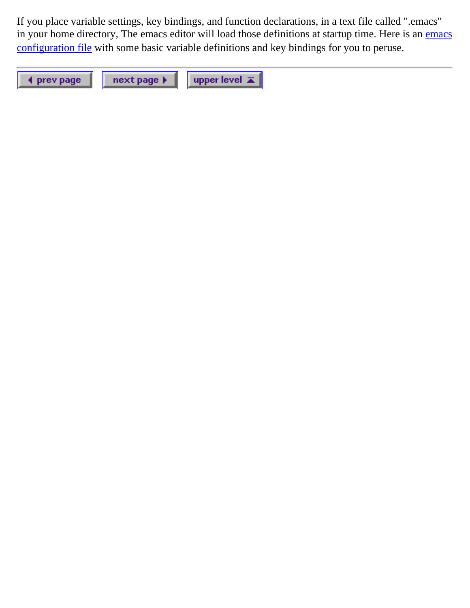If you place variable settings, key bindings, and function declarations, in a text file called ".emacs" in your home directory, The [emacs](http://www.isu.edu/comcom/workshops/unix/emacs-keys.txt) editor will load those definitions at startup time. Here is an *emacs* [configuration file](http://www.isu.edu/comcom/workshops/unix/emacs-keys.txt) with some basic variable definitions and key bindings for you to peruse.

**♦** prev page

next page >

upper level  $\vert \mathbf{z} \vert$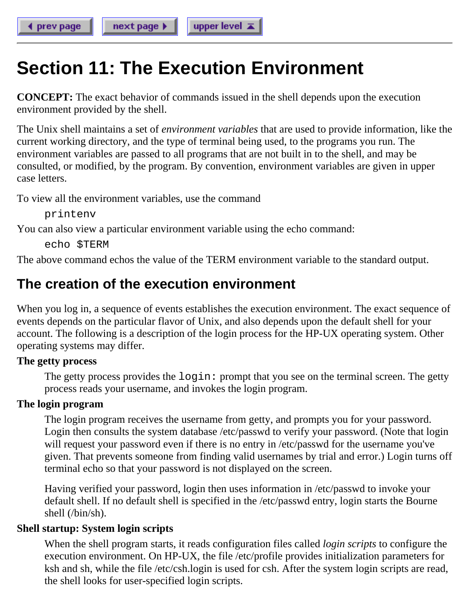# <span id="page-34-0"></span>**Section 11: The Execution Environment**

**CONCEPT:** The exact behavior of commands issued in the shell depends upon the execution environment provided by the shell.

The Unix shell maintains a set of *environment variables* that are used to provide information, like the current working directory, and the type of terminal being used, to the programs you run. The environment variables are passed to all programs that are not built in to the shell, and may be consulted, or modified, by the program. By convention, environment variables are given in upper case letters.

To view all the environment variables, use the command

printenv

You can also view a particular environment variable using the echo command:

echo \$TERM

The above command echos the value of the TERM environment variable to the standard output.

### **The creation of the execution environment**

When you log in, a sequence of events establishes the execution environment. The exact sequence of events depends on the particular flavor of Unix, and also depends upon the default shell for your account. The following is a description of the login process for the HP-UX operating system. Other operating systems may differ.

#### **The getty process**

The getty process provides the login: prompt that you see on the terminal screen. The getty process reads your username, and invokes the login program.

#### **The login program**

The login program receives the username from getty, and prompts you for your password. Login then consults the system database /etc/passwd to verify your password. (Note that login will request your password even if there is no entry in /etc/passwd for the username you've given. That prevents someone from finding valid usernames by trial and error.) Login turns off terminal echo so that your password is not displayed on the screen.

Having verified your password, login then uses information in /etc/passwd to invoke your default shell. If no default shell is specified in the /etc/passwd entry, login starts the Bourne shell (/bin/sh).

#### **Shell startup: System login scripts**

When the shell program starts, it reads configuration files called *login scripts* to configure the execution environment. On HP-UX, the file /etc/profile provides initialization parameters for ksh and sh, while the file /etc/csh.login is used for csh. After the system login scripts are read, the shell looks for user-specified login scripts.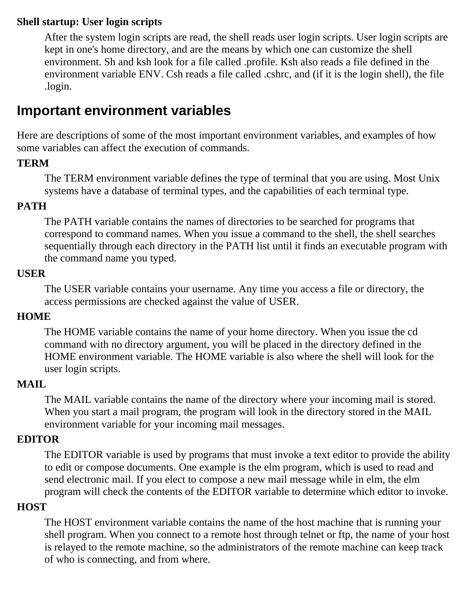#### **Shell startup: User login scripts**

After the system login scripts are read, the shell reads user login scripts. User login scripts are kept in one's home directory, and are the means by which one can customize the shell environment. Sh and ksh look for a file called .profile. Ksh also reads a file defined in the environment variable ENV. Csh reads a file called .cshrc, and (if it is the login shell), the file .login.

### **Important environment variables**

Here are descriptions of some of the most important environment variables, and examples of how some variables can affect the execution of commands.

#### **TERM**

The TERM environment variable defines the type of terminal that you are using. Most Unix systems have a database of terminal types, and the capabilities of each terminal type.

#### **PATH**

The PATH variable contains the names of directories to be searched for programs that correspond to command names. When you issue a command to the shell, the shell searches sequentially through each directory in the PATH list until it finds an executable program with the command name you typed.

#### **USER**

The USER variable contains your username. Any time you access a file or directory, the access permissions are checked against the value of USER.

#### **HOME**

The HOME variable contains the name of your home directory. When you issue the cd command with no directory argument, you will be placed in the directory defined in the HOME environment variable. The HOME variable is also where the shell will look for the user login scripts.

#### **MAIL**

The MAIL variable contains the name of the directory where your incoming mail is stored. When you start a mail program, the program will look in the directory stored in the MAIL environment variable for your incoming mail messages.

#### **EDITOR**

The EDITOR variable is used by programs that must invoke a text editor to provide the ability to edit or compose documents. One example is the elm program, which is used to read and send electronic mail. If you elect to compose a new mail message while in elm, the elm program will check the contents of the EDITOR variable to determine which editor to invoke.

#### **HOST**

The HOST environment variable contains the name of the host machine that is running your shell program. When you connect to a remote host through telnet or ftp, the name of your host is relayed to the remote machine, so the administrators of the remote machine can keep track of who is connecting, and from where.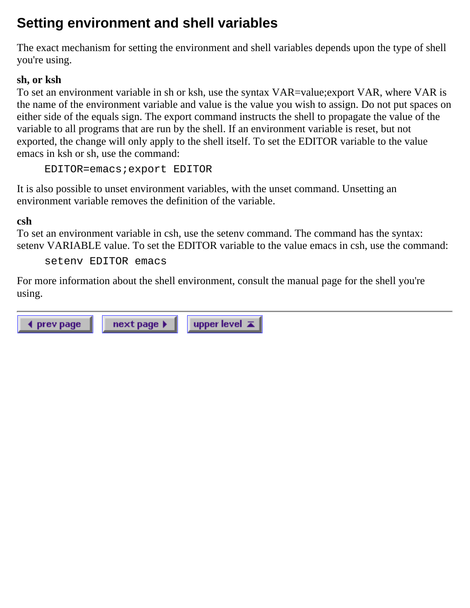## **Setting environment and shell variables**

The exact mechanism for setting the environment and shell variables depends upon the type of shell you're using.

### **sh, or ksh**

To set an environment variable in sh or ksh, use the syntax VAR=value;export VAR, where VAR is the name of the environment variable and value is the value you wish to assign. Do not put spaces on either side of the equals sign. The export command instructs the shell to propagate the value of the variable to all programs that are run by the shell. If an environment variable is reset, but not exported, the change will only apply to the shell itself. To set the EDITOR variable to the value emacs in ksh or sh, use the command:

```
EDITOR=emacs;export EDITOR
```
It is also possible to unset environment variables, with the unset command. Unsetting an environment variable removes the definition of the variable.

### **csh**

To set an environment variable in csh, use the setenv command. The command has the syntax: setenv VARIABLE value. To set the EDITOR variable to the value emacs in csh, use the command:

setenv EDITOR emacs

For more information about the shell environment, consult the manual page for the shell you're using.

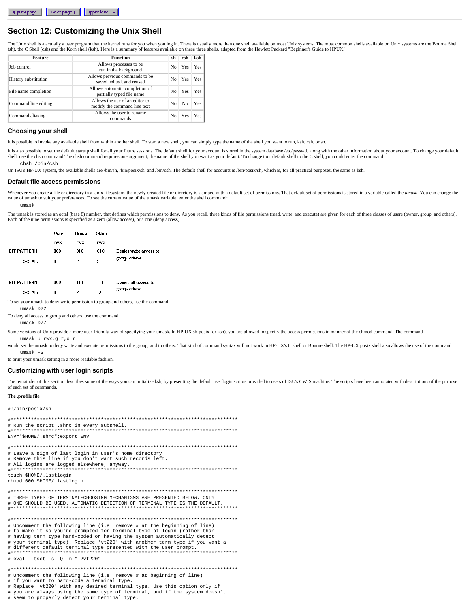#### <span id="page-37-0"></span>**Section 12: Customizing the Unix Shell**

The Unix shell is a actually a user program that the kernel runs for you when you log in. There is usually more than one shell available on most Unix systems. The most common shells available on Unix systems are the Bourne (sh), the C Shell (csh) and the Korn shell (ksh). Here is a summary of features available on these three shells, adapted from the Hewlett Packard "Beginner's Guide to HPUX."

| <b>Feature</b>       | <b>Function</b>                                                | sh             | csh        | ksh |
|----------------------|----------------------------------------------------------------|----------------|------------|-----|
| Job control          | Allows processes to be<br>run in the background                | N <sub>0</sub> | <b>Yes</b> | Yes |
| History substitution | Allows previous commands to be<br>saved, edited, and reused    | N <sub>0</sub> | <b>Yes</b> | Yes |
| File name completion | Allows automatic completion of<br>partially typed file name    | N <sub>0</sub> | <b>Yes</b> | Yes |
| Command line editing | Allows the use of an editor to<br>modify the command line text |                | No         | Yes |
| Command aliasing     | Allows the user to rename<br>commands                          | N <sub>0</sub> | Yes        | Yes |

#### **Choosing your shell**

It is possible to invoke any available shell from within another shell. To start a new shell, you can simply type the name of the shell you want to run, ksh, csh, or sh.

It is also possible to set the default startup shell for all your future sessions. The default shell for your account is stored in the system database /etc/passwd, along with the other information about your account. To ch shell, use the chsh command The chsh command requires one argument, the name of the shell you want as your default. To change tour default shell to the C shell, you could enter the command

chsh /bin/csh

On ISU's HP-UX system, the available shells are /bin/sh, /bin/posix/sh, and /bin/csh. The default shell for accounts is /bin/posix/sh, which is, for all practical purposes, the same as ksh.

#### **Default file access permissions**

Whenever you create a file or directory in a Unix filesystem, the newly created file or directory is stamped with a default set of permissions. That default set of permissions is stored in a variable called the umask. You value of umask to suit your preferences. To see the current value of the umask variable, enter the shell command: umask

The umask is stored as an octal (base 8) number, that defines which permissions to deny. As you recall, three kinds of file permissions (read, write, and execute) are given for each of three classes of users (owner, group, Each of the nine permissions is specified as a zero (allow access), or a one (deny access).

|                     | User       | Group | Other      |                        |
|---------------------|------------|-------|------------|------------------------|
|                     | <b>nvx</b> | rwx   | <b>nvx</b> |                        |
| <b>BIT PATTERN:</b> | 000        | 010   | 010        | Denies write access to |
| OCTAL:              | 0          | 2     | 2          | group, others          |
| <b>BIT PATTERN:</b> | 000        | 111   | 111        | Denies all access to   |
| OCTAL:              | 0          |       |            | group, others          |

To set your umask to deny write permission to group and others, use the command

umask 022

To deny all access to group and others, use the command

umask 077

Some versions of Unix provide a more user-friendly way of specifying your umask. In HP-UX sh-posix (or ksh), you are allowed to specify the access permissions in manner of the chmod command. The command umask u=rwx,g=r,o=r

would set the umask to deny write and execute permissions to the group, and to others. That kind of command syntax will not work in HP-UX's C shell or Bourne shell. The HP-UX posix shell also allows the use of the command umask -S

to print your umask setting in a more readable fashion.

#### **Customizing with user login scripts**

The remainder of this section describes some of the ways you can initialize ksh, by presenting the default user login scripts provided to users of ISU's CWIS machine. The scripts have been annotated with descriptions of th of each set of commands.

#### **The .profile file**

#!/bin/posix/sh



- # you are always using the same type of terminal, and if the system doesn't
- # seem to properly detect your terminal type.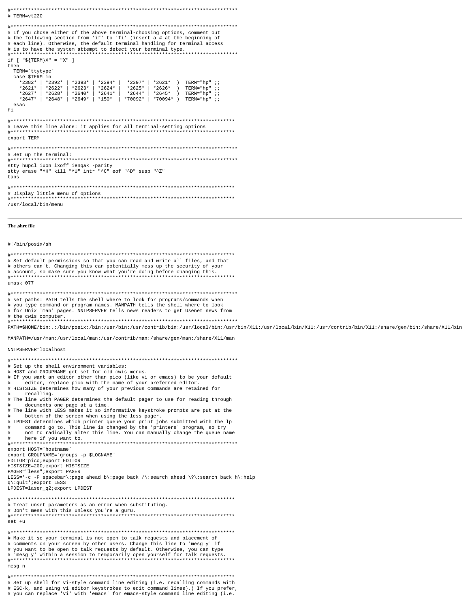$\text{H}$  TERM=vt220 #\*\*\*\*\*\*\*\*\*\*\*\*\*\*\*\*\*\*\*\*\*\*\*\*\*\*\*\*\*\*\*\*\*\*\*\*\*\*\*\*\*\*\*\*\*\*\*\*\*\*\*\*\*\*\*\*\*\*\*\*\*\*\*\*\*\*\*\*\*\*\*\*\*\*\*\*\*\* # If you chose either of the above terminal-choosing options, comment out # the following section from 'if' to 'fi' (insert a # at the beginning of # each line). Otherwise, the default terminal handling for terminal access # is to have the system attempt to detect your terminal type. #\*\*\*\*\*\*\*\*\*\*\*\*\*\*\*\*\*\*\*\*\*\*\*\*\*\*\*\*\*\*\*\*\*\*\*\*\*\*\*\*\*\*\*\*\*\*\*\*\*\*\*\*\*\*\*\*\*\*\*\*\*\*\*\*\*\*\*\*\*\*\*\*\*\*\*\*\*\* if [ "\${TERM}X" = "X" ] then TERM=`ttytype` case \$TERM in \*2382\* | \*2392\* | \*2393\* | \*2394\* | \*2397\* | \*2621\* ) TERM="hp" ;; \*2621\* | \*2622\* | \*2623\* | \*2624\* | \*2625\* | \*2626\* ) TERM="hp" ;; \*2627\* | \*2628\* | \*2640\* | \*2641\* | \*2644\* | \*2645\* ) TERM="hp" ;; \*2647\* | \*2648\* | \*2649\* | \*150\* | \*70092\* | \*70094\* ) TERM="hp" ;; esac fi #\*\*\*\*\*\*\*\*\*\*\*\*\*\*\*\*\*\*\*\*\*\*\*\*\*\*\*\*\*\*\*\*\*\*\*\*\*\*\*\*\*\*\*\*\*\*\*\*\*\*\*\*\*\*\*\*\*\*\*\*\*\*\*\*\*\*\*\*\*\*\*\*\*\*\*\*\* # Leave this line alone: it applies for all terminal-setting options #\*\*\*\*\*\*\*\*\*\*\*\*\*\*\*\*\*\*\*\*\*\*\*\*\*\*\*\*\*\*\*\*\*\*\*\*\*\*\*\*\*\*\*\*\*\*\*\*\*\*\*\*\*\*\*\*\*\*\*\*\*\*\*\*\*\*\*\*\*\*\*\*\*\*\*\*\* export TERM #\*\*\*\*\*\*\*\*\*\*\*\*\*\*\*\*\*\*\*\*\*\*\*\*\*\*\*\*\*\*\*\*\*\*\*\*\*\*\*\*\*\*\*\*\*\*\*\*\*\*\*\*\*\*\*\*\*\*\*\*\*\*\*\*\*\*\*\*\*\*\*\*\*\*\*\*\*\* # Set up the terminal: #\*\*\*\*\*\*\*\*\*\*\*\*\*\*\*\*\*\*\*\*\*\*\*\*\*\*\*\*\*\*\*\*\*\*\*\*\*\*\*\*\*\*\*\*\*\*\*\*\*\*\*\*\*\*\*\*\*\*\*\*\*\*\*\*\*\*\*\*\*\*\*\*\*\*\*\*\*\* stty hupcl ixon ixoff ienqak -parity stty erase "^H" kill "^U" intr "^C" eof "^D" susp "^Z" tabs #\*\*\*\*\*\*\*\*\*\*\*\*\*\*\*\*\*\*\*\*\*\*\*\*\*\*\*\*\*\*\*\*\*\*\*\*\*\*\*\*\*\*\*\*\*\*\*\*\*\*\*\*\*\*\*\*\*\*\*\*\*\*\*\*\*\*\*\*\*\*\*\*\*\*\*\*\* # Display little menu of options #\*\*\*\*\*\*\*\*\*\*\*\*\*\*\*\*\*\*\*\*\*\*\*\*\*\*\*\*\*\*\*\*\*\*\*\*\*\*\*\*\*\*\*\*\*\*\*\*\*\*\*\*\*\*\*\*\*\*\*\*\*\*\*\*\*\*\*\*\*\*\*\*\*\*\*\*\* /usr/local/bin/menu

#\*\*\*\*\*\*\*\*\*\*\*\*\*\*\*\*\*\*\*\*\*\*\*\*\*\*\*\*\*\*\*\*\*\*\*\*\*\*\*\*\*\*\*\*\*\*\*\*\*\*\*\*\*\*\*\*\*\*\*\*\*\*\*\*\*\*\*\*\*\*\*\*\*\*\*\*\*\*

#### **The .shrc file**

#!/bin/posix/sh

#\*\*\*\*\*\*\*\*\*\*\*\*\*\*\*\*\*\*\*\*\*\*\*\*\*\*\*\*\*\*\*\*\*\*\*\*\*\*\*\*\*\*\*\*\*\*\*\*\*\*\*\*\*\*\*\*\*\*\*\*\*\*\*\*\*\*\*\*\*\*\*\*\*\*\*\*\* # Set default permissions so that you can read and write all files, and that # others can't. Changing this can potentially mess up the security of your # account, so make sure you know what you're doing before changing this. #\*\*\*\*\*\*\*\*\*\*\*\*\*\*\*\*\*\*\*\*\*\*\*\*\*\*\*\*\*\*\*\*\*\*\*\*\*\*\*\*\*\*\*\*\*\*\*\*\*\*\*\*\*\*\*\*\*\*\*\*\*\*\*\*\*\*\*\*\*\*\*\*\*\*\*\*\* umask 077 #\*\*\*\*\*\*\*\*\*\*\*\*\*\*\*\*\*\*\*\*\*\*\*\*\*\*\*\*\*\*\*\*\*\*\*\*\*\*\*\*\*\*\*\*\*\*\*\*\*\*\*\*\*\*\*\*\*\*\*\*\*\*\*\*\*\*\*\*\*\*\*\*\*\*\*\*\*\* # set paths: PATH tells the shell where to look for programs/commands when # you type command or program names. MANPATH tells the shell where to look # for Unix 'man' pages. NNTPSERVER tells news readers to get Usenet news from # the cwis computer. #\*\*\*\*\*\*\*\*\*\*\*\*\*\*\*\*\*\*\*\*\*\*\*\*\*\*\*\*\*\*\*\*\*\*\*\*\*\*\*\*\*\*\*\*\*\*\*\*\*\*\*\*\*\*\*\*\*\*\*\*\*\*\*\*\*\*\*\*\*\*\*\*\*\*\*\*\*\* PATH=\$HOME/bin:.:/bin/posix:/bin:/usr/bin:/usr/contrib/bin:/usr/local/bin:/usr/bin/X11:/usr/local/bin/X11:/usr/contrib/bin/X11:/share/gen/bin:/share/X11/bin MANPATH=/usr/man:/usr/local/man:/usr/contrib/man:/share/gen/man:/share/X11/man NNTPSERVER=localhost #\*\*\*\*\*\*\*\*\*\*\*\*\*\*\*\*\*\*\*\*\*\*\*\*\*\*\*\*\*\*\*\*\*\*\*\*\*\*\*\*\*\*\*\*\*\*\*\*\*\*\*\*\*\*\*\*\*\*\*\*\*\*\*\*\*\*\*\*\*\*\*\*\*\*\*\*\*\* # Set up the shell environment variables: # HOST and GROUPNAME get set for old cwis menus. # If you want an editor other than pico (like vi or emacs) to be your default editor, replace pico with the name of your preferred editor # HISTSIZE determines how many of your previous commands are retained for recalling. # The line with PAGER determines the default pager to use for reading through documents one page at a time. # The line with LESS makes it so informative keystroke prompts are put at the bottom of the screen when using the less pager. LPDEST determines which printer queue your print jobs submitted with the lp command go to. This line is changed by the 'printers' program, so try # not to radically alter this line. You can manually change the queue name # here if you want to. #\*\*\*\*\*\*\*\*\*\*\*\*\*\*\*\*\*\*\*\*\*\*\*\*\*\*\*\*\*\*\*\*\*\*\*\*\*\*\*\*\*\*\*\*\*\*\*\*\*\*\*\*\*\*\*\*\*\*\*\*\*\*\*\*\*\*\*\*\*\*\*\*\*\*\*\*\*\* export HOST=`hostname` export GROUPNAME=`groups -p \$LOGNAME` EDITOR=pico;export EDITOR HISTSIZE=200;export HISTSIZE PAGER="less";export PAGER LESS='-c -P spacebar\:page ahead b\:page back /\:search ahead \?\:search back h\:help q\:quit';export LESS LPDEST=laser\_q2;export LPDEST #\*\*\*\*\*\*\*\*\*\*\*\*\*\*\*\*\*\*\*\*\*\*\*\*\*\*\*\*\*\*\*\*\*\*\*\*\*\*\*\*\*\*\*\*\*\*\*\*\*\*\*\*\*\*\*\*\*\*\*\*\*\*\*\*\*\*\*\*\*\*\*\*\*\*\*\*\* # Treat unset parameters as an error when substituting. # Don't mess with this unless you're a guru. #\*\*\*\*\*\*\*\*\*\*\*\*\*\*\*\*\*\*\*\*\*\*\*\*\*\*\*\*\*\*\*\*\*\*\*\*\*\*\*\*\*\*\*\*\*\*\*\*\*\*\*\*\*\*\*\*\*\*\*\*\*\*\*\*\*\*\*\*\*\*\*\*\*\*\*\*\* set +u #\*\*\*\*\*\*\*\*\*\*\*\*\*\*\*\*\*\*\*\*\*\*\*\*\*\*\*\*\*\*\*\*\*\*\*\*\*\*\*\*\*\*\*\*\*\*\*\*\*\*\*\*\*\*\*\*\*\*\*\*\*\*\*\*\*\*\*\*\*\*\*\*\*\*\*\*\* # Make it so your terminal is not open to talk requests and placement of # comments on your screen by other users. Change this line to 'mesg y' if # you want to be open to talk requests by default. Otherwise, you can type # 'mesg y' within a session to temporarily open yourself for talk requests. #\*\*\*\*\*\*\*\*\*\*\*\*\*\*\*\*\*\*\*\*\*\*\*\*\*\*\*\*\*\*\*\*\*\*\*\*\*\*\*\*\*\*\*\*\*\*\*\*\*\*\*\*\*\*\*\*\*\*\*\*\*\*\*\*\*\*\*\*\*\*\*\*\*\*\*\*\* mesg n #\*\*\*\*\*\*\*\*\*\*\*\*\*\*\*\*\*\*\*\*\*\*\*\*\*\*\*\*\*\*\*\*\*\*\*\*\*\*\*\*\*\*\*\*\*\*\*\*\*\*\*\*\*\*\*\*\*\*\*\*\*\*\*\*\*\*\*\*\*\*\*\*\*\*\*\*\* # Set up shell for vi-style command line editing (i.e. recalling commands with # ESC-k, and using vi editor keystrokes to edit command lines).) If you prefer,

# you can replace 'vi' with 'emacs' for emacs-style command line editing (i.e.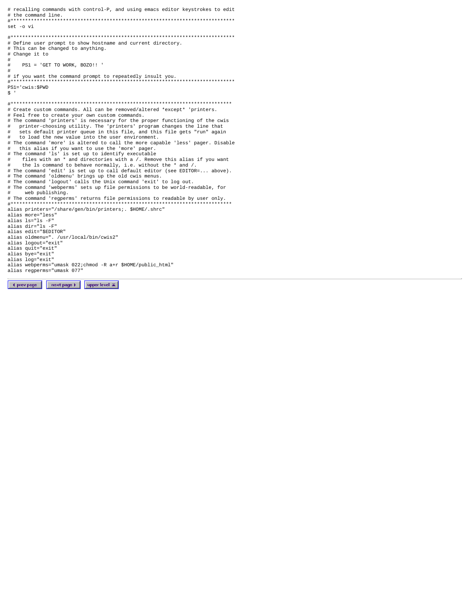# recalling commands with control-P, and using emacs editor keystrokes to edit # the command line. #\*\*\*\*\*\*\*\*\*\*\*\*\*\*\*\*\*\*\*\*\*\*\*\*\*\*\*\*\*\*\*\*\*\*\*\*\*\*\*\*\*\*\*\*\*\*\*\*\*\*\*\*\*\*\*\*\*\*\*\*\*\*\*\*\*\*\*\*\*\*\*\*\*\*\*\*\* set -o vi #\*\*\*\*\*\*\*\*\*\*\*\*\*\*\*\*\*\*\*\*\*\*\*\*\*\*\*\*\*\*\*\*\*\*\*\*\*\*\*\*\*\*\*\*\*\*\*\*\*\*\*\*\*\*\*\*\*\*\*\*\*\*\*\*\*\*\*\*\*\*\*\*\*\*\*\*\* # Define user prompt to show hostname and current directory. # This can be changed to anything. # Change it to # # PS1 = 'GET TO WORK, BOZO!! ' # # if you want the command prompt to repeatedly insult you. #\*\*\*\*\*\*\*\*\*\*\*\*\*\*\*\*\*\*\*\*\*\*\*\*\*\*\*\*\*\*\*\*\*\*\*\*\*\*\*\*\*\*\*\*\*\*\*\*\*\*\*\*\*\*\*\*\*\*\*\*\*\*\*\*\*\*\*\*\*\*\*\*\*\*\*\*\* PS1='cwis:\$PWD  $\ddot{s}$ #\*\*\*\*\*\*\*\*\*\*\*\*\*\*\*\*\*\*\*\*\*\*\*\*\*\*\*\*\*\*\*\*\*\*\*\*\*\*\*\*\*\*\*\*\*\*\*\*\*\*\*\*\*\*\*\*\*\*\*\*\*\*\*\*\*\*\*\*\*\*\*\*\*\*\*\* # Create custom commands. All can be removed/altered \*except\* 'printers. # Feel free to create your own custom commands. # The command 'printers' is necessary for the proper functioning of the cwis # printer-choosing utility. The 'printers' program changes the line that # sets default printer queue in this file, and this file gets "run" again to load the new value into the user environment. # The command 'more' is altered to call the more capable 'less' pager. Disable # this alias if you want to use the 'more' pager. # The command 'ls' is set up to identify executable # files with an \* and directories with a /. Remove this alias if you want # the ls command to behave normally, i.e. without the \* and /. # The command 'edit' is set up to call default editor (see EDITOR=... above). # The command 'oldmenu' brings up the old cwis menus. # The command 'logout' calls the Unix command 'exit' to log out. # The command 'webperms' sets up file permissions to be world-readable, for # web publishing. # The command 'regperms' returns file permissions to readable by user only. #\*\*\*\*\*\*\*\*\*\*\*\*\*\*\*\*\*\*\*\*\*\*\*\*\*\*\*\*\*\*\*\*\*\*\*\*\*\*\*\*\*\*\*\*\*\*\*\*\*\*\*\*\*\*\*\*\*\*\*\*\*\*\*\*\*\*\*\*\*\*\*\*\*\*\*\* alias printers="/share/gen/bin/printers;. \$HOME/.shrc" alias more="less" alias ls="ls -F" alias dir="ls -F" alias edit="\$EDITOR" alias oldmenu=". /usr/local/bin/cwis2" alias logout="exit" alias quit="exit" alias bye="exit" alias log="exit" alias webperms="umask 022;chmod -R a+r \$HOME/public\_html" alias regperms="umask 077"  $\bullet$  prev page | next page ▶ | upper level  $\bar{z}$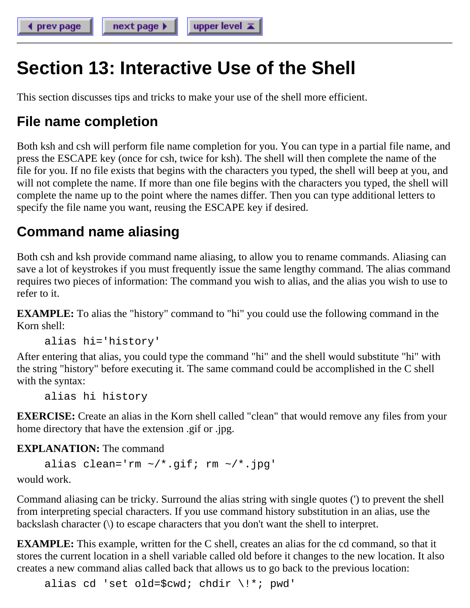# <span id="page-40-0"></span>**Section 13: Interactive Use of the Shell**

This section discusses tips and tricks to make your use of the shell more efficient.

### **File name completion**

Both ksh and csh will perform file name completion for you. You can type in a partial file name, and press the ESCAPE key (once for csh, twice for ksh). The shell will then complete the name of the file for you. If no file exists that begins with the characters you typed, the shell will beep at you, and will not complete the name. If more than one file begins with the characters you typed, the shell will complete the name up to the point where the names differ. Then you can type additional letters to specify the file name you want, reusing the ESCAPE key if desired.

### **Command name aliasing**

Both csh and ksh provide command name aliasing, to allow you to rename commands. Aliasing can save a lot of keystrokes if you must frequently issue the same lengthy command. The alias command requires two pieces of information: The command you wish to alias, and the alias you wish to use to refer to it.

**EXAMPLE:** To alias the "history" command to "hi" you could use the following command in the Korn shell:

```
alias hi='history'
```
After entering that alias, you could type the command "hi" and the shell would substitute "hi" with the string "history" before executing it. The same command could be accomplished in the C shell with the syntax:

alias hi history

**EXERCISE:** Create an alias in the Korn shell called "clean" that would remove any files from your home directory that have the extension .gif or .jpg.

#### **EXPLANATION:** The command

```
alias clean='rm \sim/*.gif; rm \sim/*.jpg'
```
would work.

Command aliasing can be tricky. Surround the alias string with single quotes (') to prevent the shell from interpreting special characters. If you use command history substitution in an alias, use the backslash character (\) to escape characters that you don't want the shell to interpret.

**EXAMPLE:** This example, written for the C shell, creates an alias for the cd command, so that it stores the current location in a shell variable called old before it changes to the new location. It also creates a new command alias called back that allows us to go back to the previous location:

```
alias cd 'set old=$cwd; chdir \!*; pwd'
```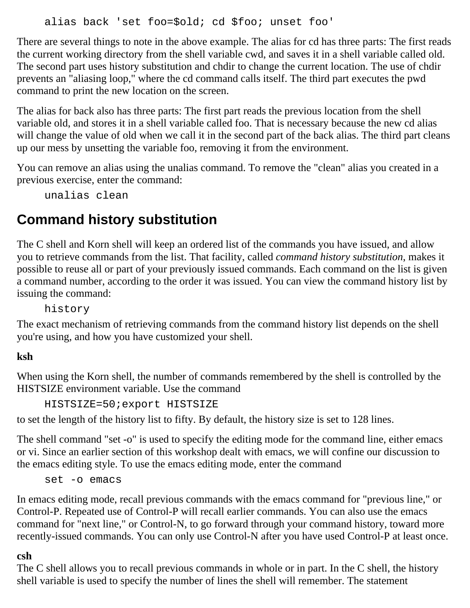```
alias back 'set foo=$old; cd $foo; unset foo'
```
There are several things to note in the above example. The alias for cd has three parts: The first reads the current working directory from the shell variable cwd, and saves it in a shell variable called old. The second part uses history substitution and chdir to change the current location. The use of chdir prevents an "aliasing loop," where the cd command calls itself. The third part executes the pwd command to print the new location on the screen.

The alias for back also has three parts: The first part reads the previous location from the shell variable old, and stores it in a shell variable called foo. That is necessary because the new cd alias will change the value of old when we call it in the second part of the back alias. The third part cleans up our mess by unsetting the variable foo, removing it from the environment.

You can remove an alias using the unalias command. To remove the "clean" alias you created in a previous exercise, enter the command:

unalias clean

## **Command history substitution**

The C shell and Korn shell will keep an ordered list of the commands you have issued, and allow you to retrieve commands from the list. That facility, called *command history substitution*, makes it possible to reuse all or part of your previously issued commands. Each command on the list is given a command number, according to the order it was issued. You can view the command history list by issuing the command:

history

The exact mechanism of retrieving commands from the command history list depends on the shell you're using, and how you have customized your shell.

### **ksh**

When using the Korn shell, the number of commands remembered by the shell is controlled by the HISTSIZE environment variable. Use the command

HISTSIZE=50;export HISTSIZE

to set the length of the history list to fifty. By default, the history size is set to 128 lines.

The shell command "set -o" is used to specify the editing mode for the command line, either emacs or vi. Since an earlier section of this workshop dealt with emacs, we will confine our discussion to the emacs editing style. To use the emacs editing mode, enter the command

set -o emacs

In emacs editing mode, recall previous commands with the emacs command for "previous line," or Control-P. Repeated use of Control-P will recall earlier commands. You can also use the emacs command for "next line," or Control-N, to go forward through your command history, toward more recently-issued commands. You can only use Control-N after you have used Control-P at least once.

### **csh**

The C shell allows you to recall previous commands in whole or in part. In the C shell, the history shell variable is used to specify the number of lines the shell will remember. The statement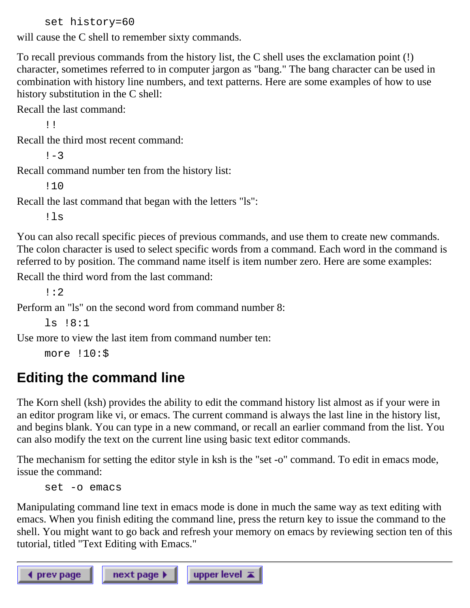set history=60

will cause the C shell to remember sixty commands.

To recall previous commands from the history list, the C shell uses the exclamation point (!) character, sometimes referred to in computer jargon as "bang." The bang character can be used in combination with history line numbers, and text patterns. Here are some examples of how to use history substitution in the C shell:

Recall the last command:

**!!** 

Recall the third most recent command:

 $1 - 3$ 

Recall command number ten from the history list:

!10

Recall the last command that began with the letters "ls":

!ls

You can also recall specific pieces of previous commands, and use them to create new commands. The colon character is used to select specific words from a command. Each word in the command is referred to by position. The command name itself is item number zero. Here are some examples:

Recall the third word from the last command:

!:2

Perform an "ls" on the second word from command number 8:

```
ls !8:1
```
Use more to view the last item from command number ten:

```
more !10:$
```
### **Editing the command line**

The Korn shell (ksh) provides the ability to edit the command history list almost as if your were in an editor program like vi, or emacs. The current command is always the last line in the history list, and begins blank. You can type in a new command, or recall an earlier command from the list. You can also modify the text on the current line using basic text editor commands.

The mechanism for setting the editor style in ksh is the "set -o" command. To edit in emacs mode, issue the command:

set -o emacs

Manipulating command line text in emacs mode is done in much the same way as text editing with emacs. When you finish editing the command line, press the return key to issue the command to the shell. You might want to go back and refresh your memory on emacs by reviewing section ten of this tutorial, titled "Text Editing with Emacs."

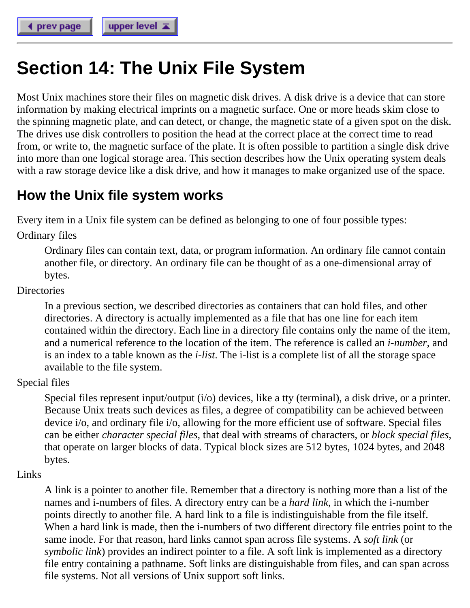# <span id="page-43-0"></span>**Section 14: The Unix File System**

Most Unix machines store their files on magnetic disk drives. A disk drive is a device that can store information by making electrical imprints on a magnetic surface. One or more heads skim close to the spinning magnetic plate, and can detect, or change, the magnetic state of a given spot on the disk. The drives use disk controllers to position the head at the correct place at the correct time to read from, or write to, the magnetic surface of the plate. It is often possible to partition a single disk drive into more than one logical storage area. This section describes how the Unix operating system deals with a raw storage device like a disk drive, and how it manages to make organized use of the space.

### **How the Unix file system works**

Every item in a Unix file system can be defined as belonging to one of four possible types:

Ordinary files

Ordinary files can contain text, data, or program information. An ordinary file cannot contain another file, or directory. An ordinary file can be thought of as a one-dimensional array of bytes.

**Directories** 

In a previous section, we described directories as containers that can hold files, and other directories. A directory is actually implemented as a file that has one line for each item contained within the directory. Each line in a directory file contains only the name of the item, and a numerical reference to the location of the item. The reference is called an *i-number*, and is an index to a table known as the *i-list*. The i-list is a complete list of all the storage space available to the file system.

Special files

Special files represent input/output (i/o) devices, like a tty (terminal), a disk drive, or a printer. Because Unix treats such devices as files, a degree of compatibility can be achieved between device i/o, and ordinary file i/o, allowing for the more efficient use of software. Special files can be either *character special files,* that deal with streams of characters, or *block special files*, that operate on larger blocks of data. Typical block sizes are 512 bytes, 1024 bytes, and 2048 bytes.

#### Links

A link is a pointer to another file. Remember that a directory is nothing more than a list of the names and i-numbers of files. A directory entry can be a *hard link*, in which the i-number points directly to another file. A hard link to a file is indistinguishable from the file itself. When a hard link is made, then the i-numbers of two different directory file entries point to the same inode. For that reason, hard links cannot span across file systems. A *soft link* (or *symbolic link*) provides an indirect pointer to a file. A soft link is implemented as a directory file entry containing a pathname. Soft links are distinguishable from files, and can span across file systems. Not all versions of Unix support soft links.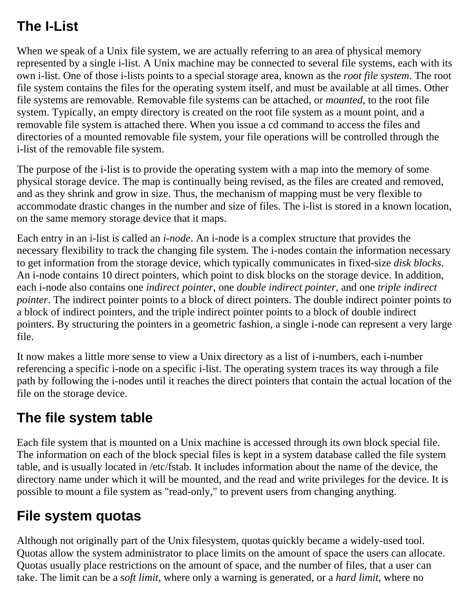## **The I-List**

When we speak of a Unix file system, we are actually referring to an area of physical memory represented by a single i-list. A Unix machine may be connected to several file systems, each with its own i-list. One of those i-lists points to a special storage area, known as the *root file system*. The root file system contains the files for the operating system itself, and must be available at all times. Other file systems are removable. Removable file systems can be attached, or *mounted*, to the root file system. Typically, an empty directory is created on the root file system as a mount point, and a removable file system is attached there. When you issue a cd command to access the files and directories of a mounted removable file system, your file operations will be controlled through the i-list of the removable file system.

The purpose of the i-list is to provide the operating system with a map into the memory of some physical storage device. The map is continually being revised, as the files are created and removed, and as they shrink and grow in size. Thus, the mechanism of mapping must be very flexible to accommodate drastic changes in the number and size of files. The i-list is stored in a known location, on the same memory storage device that it maps.

Each entry in an i-list is called an *i-node*. An i-node is a complex structure that provides the necessary flexibility to track the changing file system. The i-nodes contain the information necessary to get information from the storage device, which typically communicates in fixed-size *disk blocks*. An i-node contains 10 direct pointers, which point to disk blocks on the storage device. In addition, each i-node also contains one *indirect pointer*, one *double indirect pointer*, and one *triple indirect pointer*. The indirect pointer points to a block of direct pointers. The double indirect pointer points to a block of indirect pointers, and the triple indirect pointer points to a block of double indirect pointers. By structuring the pointers in a geometric fashion, a single i-node can represent a very large file.

It now makes a little more sense to view a Unix directory as a list of i-numbers, each i-number referencing a specific i-node on a specific i-list. The operating system traces its way through a file path by following the i-nodes until it reaches the direct pointers that contain the actual location of the file on the storage device.

## **The file system table**

Each file system that is mounted on a Unix machine is accessed through its own block special file. The information on each of the block special files is kept in a system database called the file system table, and is usually located in /etc/fstab. It includes information about the name of the device, the directory name under which it will be mounted, and the read and write privileges for the device. It is possible to mount a file system as "read-only," to prevent users from changing anything.

## **File system quotas**

Although not originally part of the Unix filesystem, quotas quickly became a widely-used tool. Quotas allow the system administrator to place limits on the amount of space the users can allocate. Quotas usually place restrictions on the amount of space, and the number of files, that a user can take. The limit can be a *soft limit*, where only a warning is generated, or a *hard limit*, where no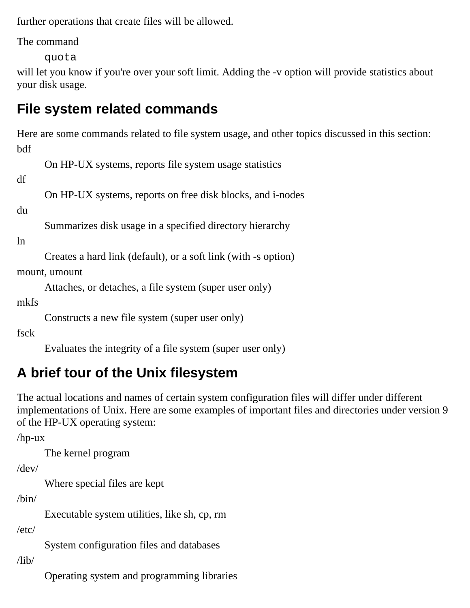further operations that create files will be allowed.

The command

quota

will let you know if you're over your soft limit. Adding the -v option will provide statistics about your disk usage.

### **File system related commands**

Here are some commands related to file system usage, and other topics discussed in this section: bdf

On HP-UX systems, reports file system usage statistics

df

On HP-UX systems, reports on free disk blocks, and i-nodes

du

Summarizes disk usage in a specified directory hierarchy

ln

Creates a hard link (default), or a soft link (with -s option)

mount, umount

Attaches, or detaches, a file system (super user only)

mkfs

Constructs a new file system (super user only)

fsck

Evaluates the integrity of a file system (super user only)

## **A brief tour of the Unix filesystem**

The actual locations and names of certain system configuration files will differ under different implementations of Unix. Here are some examples of important files and directories under version 9 of the HP-UX operating system:

/hp-ux

The kernel program

/dev/

Where special files are kept

/bin/

Executable system utilities, like sh, cp, rm

/etc/

System configuration files and databases

 $\frac{\mathrm{di}}{\mathrm{di}}$ 

Operating system and programming libraries